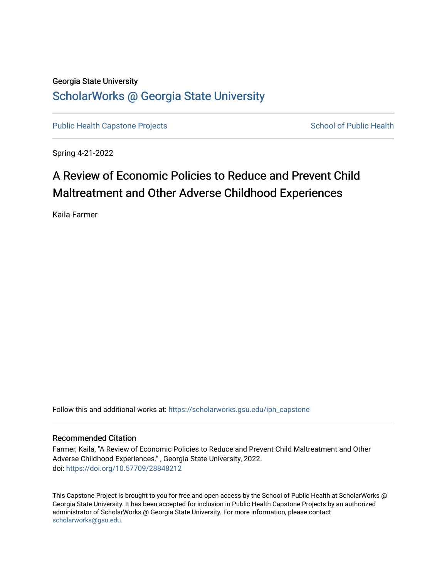# Georgia State University [ScholarWorks @ Georgia State University](https://scholarworks.gsu.edu/)

[Public Health Capstone Projects](https://scholarworks.gsu.edu/iph_capstone) **School of Public Health** School of Public Health

Spring 4-21-2022

# A Review of Economic Policies to Reduce and Prevent Child Maltreatment and Other Adverse Childhood Experiences

Kaila Farmer

Follow this and additional works at: [https://scholarworks.gsu.edu/iph\\_capstone](https://scholarworks.gsu.edu/iph_capstone?utm_source=scholarworks.gsu.edu%2Fiph_capstone%2F143&utm_medium=PDF&utm_campaign=PDFCoverPages)

#### Recommended Citation

Farmer, Kaila, "A Review of Economic Policies to Reduce and Prevent Child Maltreatment and Other Adverse Childhood Experiences." , Georgia State University, 2022. doi: <https://doi.org/10.57709/28848212>

This Capstone Project is brought to you for free and open access by the School of Public Health at ScholarWorks @ Georgia State University. It has been accepted for inclusion in Public Health Capstone Projects by an authorized administrator of ScholarWorks @ Georgia State University. For more information, please contact [scholarworks@gsu.edu.](mailto:scholarworks@gsu.edu)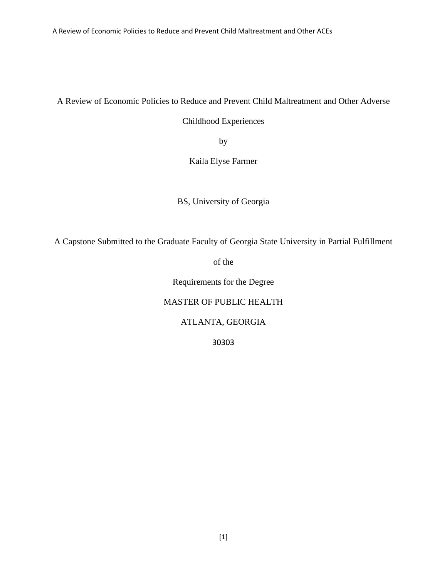A Review of Economic Policies to Reduce and Prevent Child Maltreatment and Other ACEs

A Review of Economic Policies to Reduce and Prevent Child Maltreatment and Other Adverse

Childhood Experiences

by

Kaila Elyse Farmer

BS, University of Georgia

A Capstone Submitted to the Graduate Faculty of Georgia State University in Partial Fulfillment

of the

Requirements for the Degree

## MASTER OF PUBLIC HEALTH

## ATLANTA, GEORGIA

30303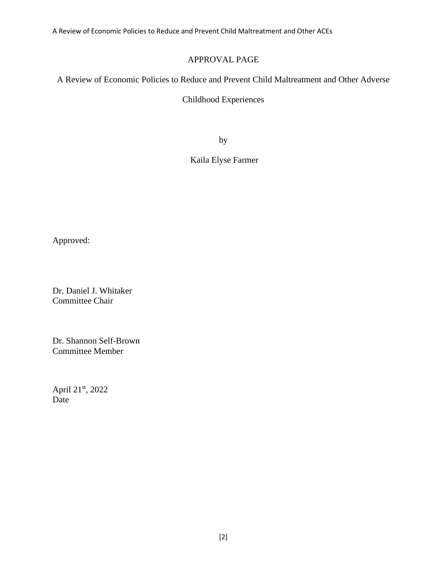A Review of Economic Policies to Reduce and Prevent Child Maltreatment and Other ACEs

# APPROVAL PAGE

A Review of Economic Policies to Reduce and Prevent Child Maltreatment and Other Adverse

## Childhood Experiences

by

# Kaila Elyse Farmer

Approved:

Dr. Daniel J. Whitaker Committee Chair

Dr. Shannon Self-Brown Committee Member

April 21st, 2022 Date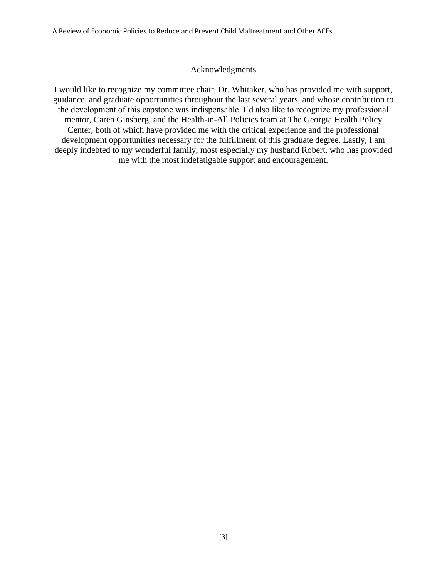#### Acknowledgments

I would like to recognize my committee chair, Dr. Whitaker, who has provided me with support, guidance, and graduate opportunities throughout the last several years, and whose contribution to the development of this capstone was indispensable. I'd also like to recognize my professional mentor, Caren Ginsberg, and the Health-in-All Policies team at The Georgia Health Policy Center, both of which have provided me with the critical experience and the professional development opportunities necessary for the fulfillment of this graduate degree. Lastly, I am deeply indebted to my wonderful family, most especially my husband Robert, who has provided me with the most indefatigable support and encouragement.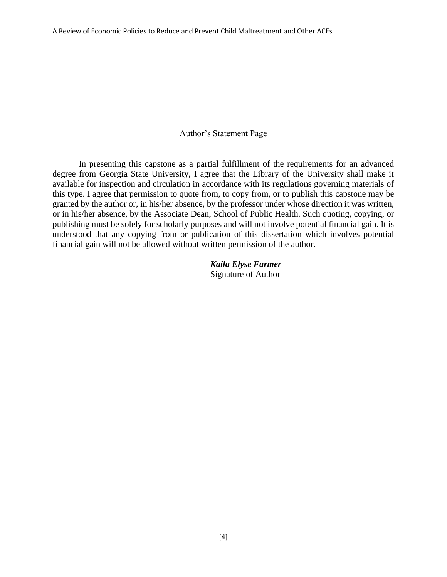#### Author's Statement Page

In presenting this capstone as a partial fulfillment of the requirements for an advanced degree from Georgia State University, I agree that the Library of the University shall make it available for inspection and circulation in accordance with its regulations governing materials of this type. I agree that permission to quote from, to copy from, or to publish this capstone may be granted by the author or, in his/her absence, by the professor under whose direction it was written, or in his/her absence, by the Associate Dean, School of Public Health. Such quoting, copying, or publishing must be solely for scholarly purposes and will not involve potential financial gain. It is understood that any copying from or publication of this dissertation which involves potential financial gain will not be allowed without written permission of the author.

> *Kaila Elyse Farmer* Signature of Author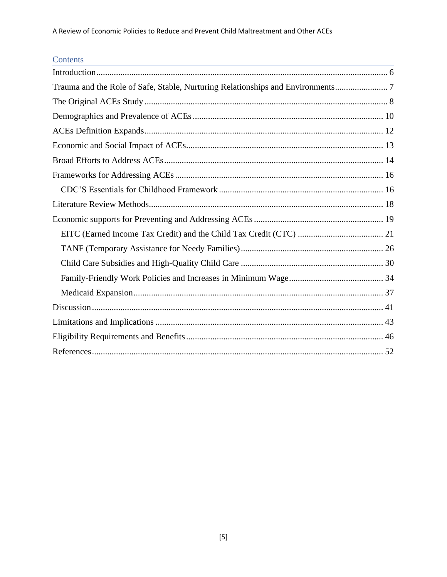# Contents

| Trauma and the Role of Safe, Stable, Nurturing Relationships and Environments |
|-------------------------------------------------------------------------------|
|                                                                               |
|                                                                               |
|                                                                               |
|                                                                               |
|                                                                               |
|                                                                               |
|                                                                               |
|                                                                               |
|                                                                               |
|                                                                               |
|                                                                               |
|                                                                               |
|                                                                               |
|                                                                               |
|                                                                               |
|                                                                               |
|                                                                               |
|                                                                               |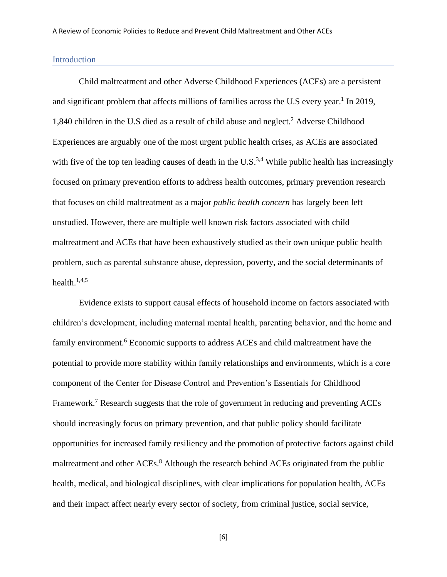#### <span id="page-6-0"></span>Introduction

Child maltreatment and other Adverse Childhood Experiences (ACEs) are a persistent and significant problem that affects millions of families across the U.S every year.<sup>1</sup> In 2019, 1,840 children in the U.S died as a result of child abuse and neglect. <sup>2</sup> Adverse Childhood Experiences are arguably one of the most urgent public health crises, as ACEs are associated with five of the top ten leading causes of death in the  $U.S.^{3,4}$  While public health has increasingly focused on primary prevention efforts to address health outcomes, primary prevention research that focuses on child maltreatment as a major *public health concern* has largely been left unstudied. However, there are multiple well known risk factors associated with child maltreatment and ACEs that have been exhaustively studied as their own unique public health problem, such as parental substance abuse, depression, poverty, and the social determinants of health. 1,4,5

Evidence exists to support causal effects of household income on factors associated with children's development, including maternal mental health, parenting behavior, and the home and family environment.<sup>6</sup> Economic supports to address ACEs and child maltreatment have the potential to provide more stability within family relationships and environments, which is a core component of the Center for Disease Control and Prevention's Essentials for Childhood Framework.<sup>7</sup> Research suggests that the role of government in reducing and preventing ACEs should increasingly focus on primary prevention, and that public policy should facilitate opportunities for increased family resiliency and the promotion of protective factors against child maltreatment and other ACEs.<sup>8</sup> Although the research behind ACEs originated from the public health, medical, and biological disciplines, with clear implications for population health, ACEs and their impact affect nearly every sector of society, from criminal justice, social service,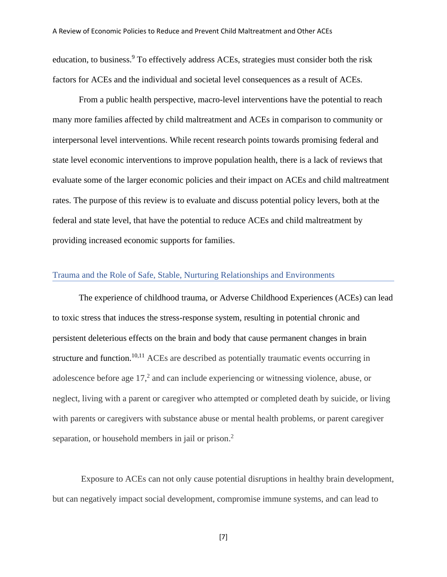education, to business.<sup>9</sup> To effectively address ACEs, strategies must consider both the risk factors for ACEs and the individual and societal level consequences as a result of ACEs.

From a public health perspective, macro-level interventions have the potential to reach many more families affected by child maltreatment and ACEs in comparison to community or interpersonal level interventions. While recent research points towards promising federal and state level economic interventions to improve population health, there is a lack of reviews that evaluate some of the larger economic policies and their impact on ACEs and child maltreatment rates. The purpose of this review is to evaluate and discuss potential policy levers, both at the federal and state level, that have the potential to reduce ACEs and child maltreatment by providing increased economic supports for families.

#### <span id="page-7-0"></span>Trauma and the Role of Safe, Stable, Nurturing Relationships and Environments

The experience of childhood trauma, or Adverse Childhood Experiences (ACEs) can lead to toxic stress that induces the stress-response system, resulting in potential chronic and persistent deleterious effects on the brain and body that cause permanent changes in brain structure and function.<sup>10,11</sup> ACEs are described as potentially traumatic events occurring in adolescence before age 17, 2 and can include experiencing or witnessing violence, abuse, or neglect, living with a parent or caregiver who attempted or completed death by suicide, or living with parents or caregivers with substance abuse or mental health problems, or parent caregiver separation, or household members in jail or prison.<sup>2</sup>

Exposure to ACEs can not only cause potential disruptions in healthy brain development, but can negatively impact social development, compromise immune systems, and can lead to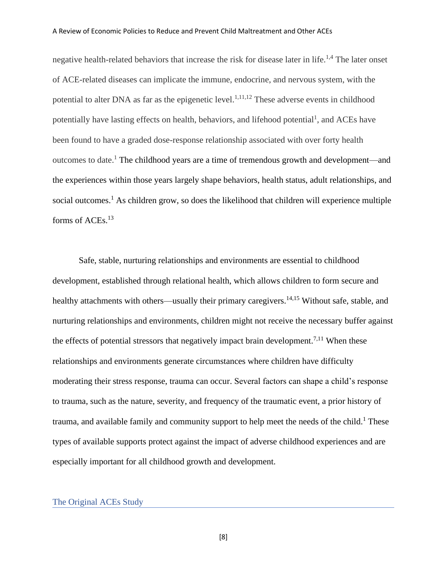negative health-related behaviors that increase the risk for disease later in life.<sup>1,4</sup> The later onset of ACE-related diseases can implicate the immune, endocrine, and nervous system, with the potential to alter DNA as far as the epigenetic level.<sup>1,11,12</sup> These adverse events in childhood potentially have lasting effects on health, behaviors, and lifehood potential<sup>1</sup>, and ACEs have been found to have a graded dose-response relationship associated with over forty health outcomes to date.<sup>1</sup> The childhood years are a time of tremendous growth and development—and the experiences within those years largely shape behaviors, health status, adult relationships, and social outcomes.<sup>1</sup> As children grow, so does the likelihood that children will experience multiple forms of ACEs.<sup>13</sup>

Safe, stable, nurturing relationships and environments are essential to childhood development, established through relational health, which allows children to form secure and healthy attachments with others—usually their primary caregivers.<sup>14,15</sup> Without safe, stable, and nurturing relationships and environments, children might not receive the necessary buffer against the effects of potential stressors that negatively impact brain development.<sup>7,11</sup> When these relationships and environments generate circumstances where children have difficulty moderating their stress response, trauma can occur. Several factors can shape a child's response to trauma, such as the nature, severity, and frequency of the traumatic event, a prior history of trauma, and available family and community support to help meet the needs of the child.<sup>1</sup> These types of available supports protect against the impact of adverse childhood experiences and are especially important for all childhood growth and development.

#### <span id="page-8-0"></span>The Original ACEs Study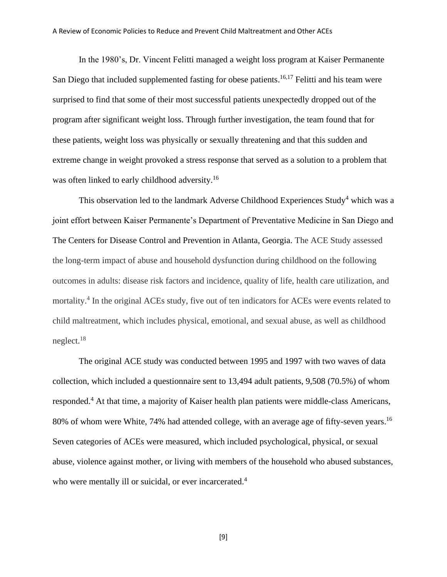In the 1980's, Dr. Vincent Felitti managed a weight loss program at Kaiser Permanente San Diego that included supplemented fasting for obese patients.<sup>16,17</sup> Felitti and his team were surprised to find that some of their most successful patients unexpectedly dropped out of the program after significant weight loss. Through further investigation, the team found that for these patients, weight loss was physically or sexually threatening and that this sudden and extreme change in weight provoked a stress response that served as a solution to a problem that was often linked to early childhood adversity.<sup>16</sup>

This observation led to the landmark Adverse Childhood Experiences Study<sup>4</sup> which was a joint effort between Kaiser Permanente's Department of Preventative Medicine in San Diego and The Centers for Disease Control and Prevention in Atlanta, Georgia. The ACE Study assessed the long-term impact of abuse and household dysfunction during childhood on the following outcomes in adults: disease risk factors and incidence, quality of life, health care utilization, and mortality.<sup>4</sup> In the original ACEs study, five out of ten indicators for ACEs were events related to child maltreatment, which includes physical, emotional, and sexual abuse, as well as childhood neglect.<sup>18</sup>

The original ACE study was conducted between 1995 and 1997 with two waves of data collection, which included a questionnaire sent to 13,494 adult patients, 9,508 (70.5%) of whom responded.<sup>4</sup> At that time, a majority of Kaiser health plan patients were middle-class Americans, 80% of whom were White, 74% had attended college, with an average age of fifty-seven years.<sup>16</sup> Seven categories of ACEs were measured, which included psychological, physical, or sexual abuse, violence against mother, or living with members of the household who abused substances, who were mentally ill or suicidal, or ever incarcerated.<sup>4</sup>

[9]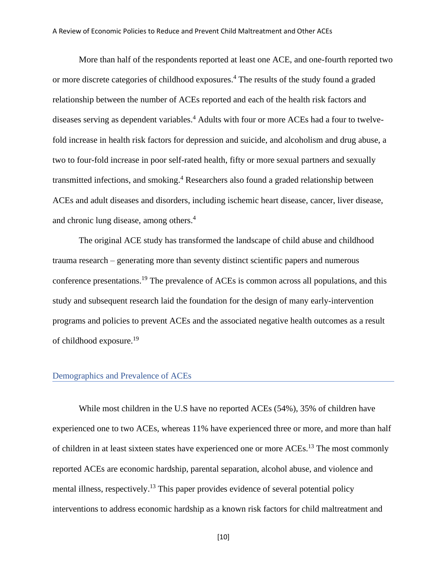More than half of the respondents reported at least one ACE, and one-fourth reported two or more discrete categories of childhood exposures. <sup>4</sup> The results of the study found a graded relationship between the number of ACEs reported and each of the health risk factors and diseases serving as dependent variables. <sup>4</sup> Adults with four or more ACEs had a four to twelvefold increase in health risk factors for depression and suicide, and alcoholism and drug abuse, a two to four-fold increase in poor self-rated health, fifty or more sexual partners and sexually transmitted infections, and smoking. <sup>4</sup> Researchers also found a graded relationship between ACEs and adult diseases and disorders, including ischemic heart disease, cancer, liver disease, and chronic lung disease, among others. 4

The original ACE study has transformed the landscape of child abuse and childhood trauma research – generating more than seventy distinct scientific papers and numerous conference presentations. <sup>19</sup> The prevalence of ACEs is common across all populations, and this study and subsequent research laid the foundation for the design of many early-intervention programs and policies to prevent ACEs and the associated negative health outcomes as a result of childhood exposure.<sup>19</sup>

#### <span id="page-10-0"></span>Demographics and Prevalence of ACEs

While most children in the U.S have no reported ACEs (54%), 35% of children have experienced one to two ACEs, whereas 11% have experienced three or more, and more than half of children in at least sixteen states have experienced one or more ACEs.<sup>13</sup> The most commonly reported ACEs are economic hardship, parental separation, alcohol abuse, and violence and mental illness, respectively.<sup>13</sup> This paper provides evidence of several potential policy interventions to address economic hardship as a known risk factors for child maltreatment and

[10]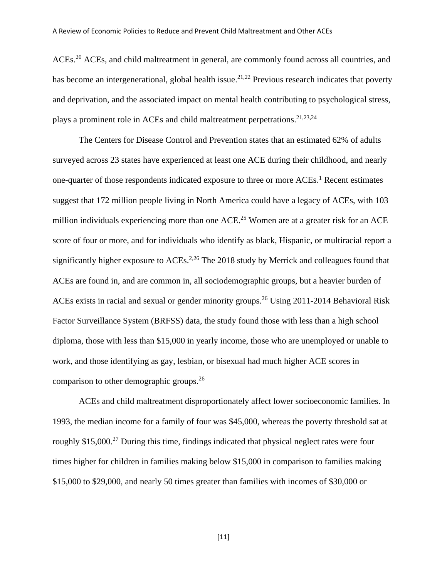ACEs.<sup>20</sup> ACEs, and child maltreatment in general, are commonly found across all countries, and has become an intergenerational, global health issue.<sup>21,22</sup> Previous research indicates that poverty and deprivation, and the associated impact on mental health contributing to psychological stress, plays a prominent role in ACEs and child maltreatment perpetrations.<sup>21,23,24</sup>

The Centers for Disease Control and Prevention states that an estimated 62% of adults surveyed across 23 states have experienced at least one ACE during their childhood, and nearly one-quarter of those respondents indicated exposure to three or more ACEs.<sup>1</sup> Recent estimates suggest that 172 million people living in North America could have a legacy of ACEs, with 103 million individuals experiencing more than one ACE.<sup>25</sup> Women are at a greater risk for an ACE score of four or more, and for individuals who identify as black, Hispanic, or multiracial report a significantly higher exposure to ACEs.<sup>2,26</sup> The 2018 study by Merrick and colleagues found that ACEs are found in, and are common in, all sociodemographic groups, but a heavier burden of ACEs exists in racial and sexual or gender minority groups.<sup>26</sup> Using 2011-2014 Behavioral Risk Factor Surveillance System (BRFSS) data, the study found those with less than a high school diploma, those with less than \$15,000 in yearly income, those who are unemployed or unable to work, and those identifying as gay, lesbian, or bisexual had much higher ACE scores in comparison to other demographic groups.<sup>26</sup>

ACEs and child maltreatment disproportionately affect lower socioeconomic families. In 1993, the median income for a family of four was \$45,000, whereas the poverty threshold sat at roughly \$15,000.<sup>27</sup> During this time, findings indicated that physical neglect rates were four times higher for children in families making below \$15,000 in comparison to families making \$15,000 to \$29,000, and nearly 50 times greater than families with incomes of \$30,000 or

[11]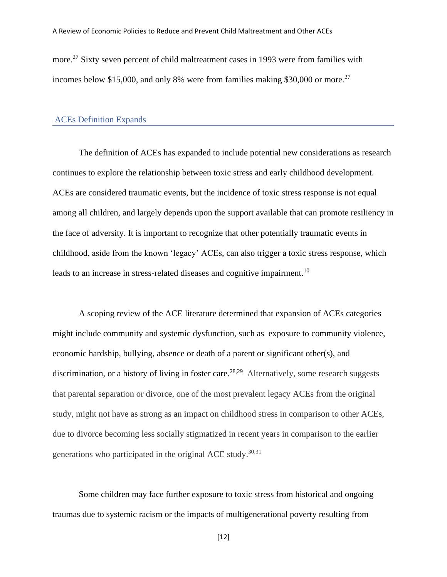more.<sup>27</sup> Sixty seven percent of child maltreatment cases in 1993 were from families with incomes below \$15,000, and only 8% were from families making \$30,000 or more.<sup>27</sup>

#### <span id="page-12-0"></span>ACEs Definition Expands

The definition of ACEs has expanded to include potential new considerations as research continues to explore the relationship between toxic stress and early childhood development. ACEs are considered traumatic events, but the incidence of toxic stress response is not equal among all children, and largely depends upon the support available that can promote resiliency in the face of adversity. It is important to recognize that other potentially traumatic events in childhood, aside from the known 'legacy' ACEs, can also trigger a toxic stress response, which leads to an increase in stress-related diseases and cognitive impairment.<sup>10</sup>

A scoping review of the ACE literature determined that expansion of ACEs categories might include community and systemic dysfunction, such as exposure to community violence, economic hardship, bullying, absence or death of a parent or significant other(s), and discrimination, or a history of living in foster care.<sup>28,29</sup> Alternatively, some research suggests that parental separation or divorce, one of the most prevalent legacy ACEs from the original study, might not have as strong as an impact on childhood stress in comparison to other ACEs, due to divorce becoming less socially stigmatized in recent years in comparison to the earlier generations who participated in the original ACE study.<sup>30,31</sup>

Some children may face further exposure to toxic stress from historical and ongoing traumas due to systemic racism or the impacts of multigenerational poverty resulting from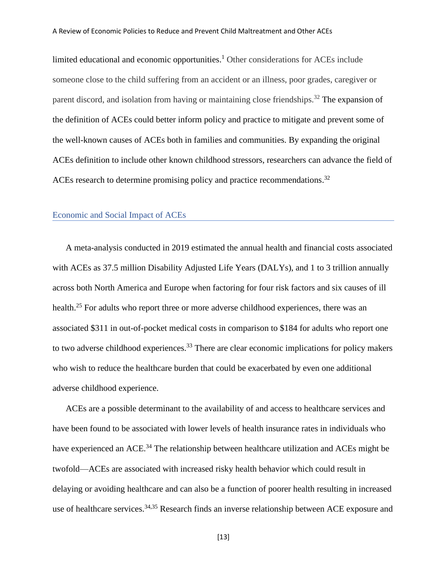limited educational and economic opportunities. <sup>1</sup> Other considerations for ACEs include someone close to the child suffering from an accident or an illness, poor grades, caregiver or parent discord, and isolation from having or maintaining close friendships.<sup>32</sup> The expansion of the definition of ACEs could better inform policy and practice to mitigate and prevent some of the well-known causes of ACEs both in families and communities. By expanding the original ACEs definition to include other known childhood stressors, researchers can advance the field of ACEs research to determine promising policy and practice recommendations.<sup>32</sup>

#### <span id="page-13-0"></span>Economic and Social Impact of ACEs

A meta-analysis conducted in 2019 estimated the annual health and financial costs associated with ACEs as 37.5 million Disability Adjusted Life Years (DALYs), and 1 to 3 trillion annually across both North America and Europe when factoring for four risk factors and six causes of ill health.<sup>25</sup> For adults who report three or more adverse childhood experiences, there was an associated \$311 in out-of-pocket medical costs in comparison to \$184 for adults who report one to two adverse childhood experiences.<sup>33</sup> There are clear economic implications for policy makers who wish to reduce the healthcare burden that could be exacerbated by even one additional adverse childhood experience.

ACEs are a possible determinant to the availability of and access to healthcare services and have been found to be associated with lower levels of health insurance rates in individuals who have experienced an ACE.<sup>34</sup> The relationship between healthcare utilization and ACEs might be twofold—ACEs are associated with increased risky health behavior which could result in delaying or avoiding healthcare and can also be a function of poorer health resulting in increased use of healthcare services.<sup>34,35</sup> Research finds an inverse relationship between ACE exposure and

[13]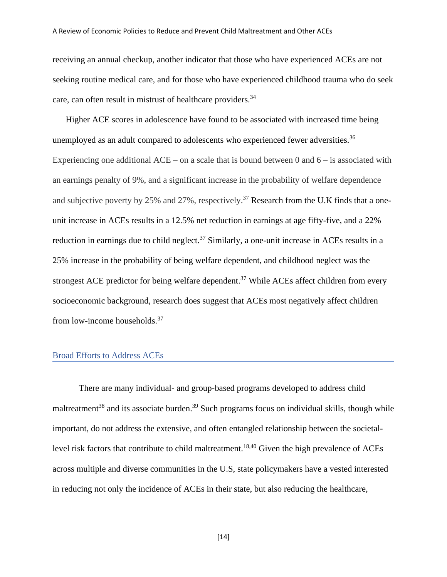receiving an annual checkup, another indicator that those who have experienced ACEs are not seeking routine medical care, and for those who have experienced childhood trauma who do seek care, can often result in mistrust of healthcare providers.<sup>34</sup>

Higher ACE scores in adolescence have found to be associated with increased time being unemployed as an adult compared to adolescents who experienced fewer adversities.<sup>36</sup> Experiencing one additional  $ACE - on$  a scale that is bound between 0 and  $6 - is$  associated with an earnings penalty of 9%, and a significant increase in the probability of welfare dependence and subjective poverty by 25% and 27%, respectively.<sup>37</sup> Research from the U.K finds that a oneunit increase in ACEs results in a 12.5% net reduction in earnings at age fifty-five, and a 22% reduction in earnings due to child neglect.<sup>37</sup> Similarly, a one-unit increase in ACEs results in a 25% increase in the probability of being welfare dependent, and childhood neglect was the strongest ACE predictor for being welfare dependent.<sup>37</sup> While ACEs affect children from every socioeconomic background, research does suggest that ACEs most negatively affect children from low-income households.<sup>37</sup>

#### <span id="page-14-0"></span>Broad Efforts to Address ACEs

There are many individual- and group-based programs developed to address child maltreatment<sup>38</sup> and its associate burden.<sup>39</sup> Such programs focus on individual skills, though while important, do not address the extensive, and often entangled relationship between the societallevel risk factors that contribute to child maltreatment.<sup>18,40</sup> Given the high prevalence of ACEs across multiple and diverse communities in the U.S, state policymakers have a vested interested in reducing not only the incidence of ACEs in their state, but also reducing the healthcare,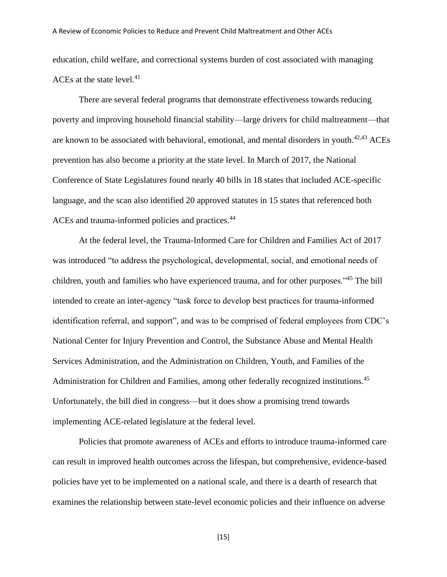education, child welfare, and correctional systems burden of cost associated with managing ACEs at the state level. $41$ 

There are several federal programs that demonstrate effectiveness towards reducing poverty and improving household financial stability—large drivers for child maltreatment—that are known to be associated with behavioral, emotional, and mental disorders in youth.<sup> $42,43$ </sup> ACEs prevention has also become a priority at the state level. In March of 2017, the National Conference of State Legislatures found nearly 40 bills in 18 states that included ACE-specific language, and the scan also identified 20 approved statutes in 15 states that referenced both ACEs and trauma-informed policies and practices.<sup>44</sup>

At the federal level, the Trauma-Informed Care for Children and Families Act of 2017 was introduced "to address the psychological, developmental, social, and emotional needs of children, youth and families who have experienced trauma, and for other purposes."<sup>45</sup> The bill intended to create an inter-agency "task force to develop best practices for trauma-informed identification referral, and support", and was to be comprised of federal employees from CDC's National Center for Injury Prevention and Control, the Substance Abuse and Mental Health Services Administration, and the Administration on Children, Youth, and Families of the Administration for Children and Families, among other federally recognized institutions.<sup>45</sup> Unfortunately, the bill died in congress—but it does show a promising trend towards implementing ACE-related legislature at the federal level.

Policies that promote awareness of ACEs and efforts to introduce trauma-informed care can result in improved health outcomes across the lifespan, but comprehensive, evidence-based policies have yet to be implemented on a national scale, and there is a dearth of research that examines the relationship between state-level economic policies and their influence on adverse

[15]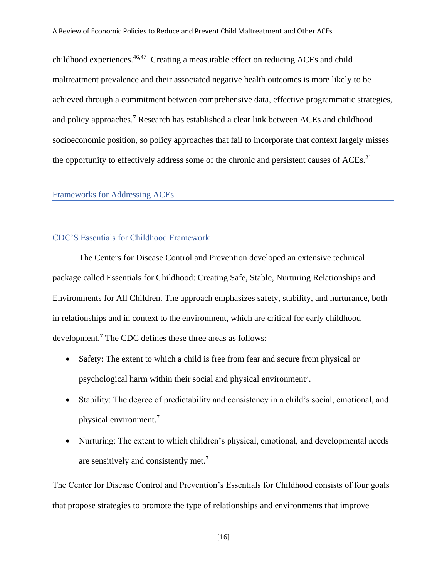childhood experiences.<sup>46,47</sup> Creating a measurable effect on reducing ACEs and child maltreatment prevalence and their associated negative health outcomes is more likely to be achieved through a commitment between comprehensive data, effective programmatic strategies, and policy approaches.<sup>7</sup> Research has established a clear link between ACEs and childhood socioeconomic position, so policy approaches that fail to incorporate that context largely misses the opportunity to effectively address some of the chronic and persistent causes of  $ACEs$ <sup>21</sup>

#### <span id="page-16-0"></span>Frameworks for Addressing ACEs

#### <span id="page-16-1"></span>CDC'S Essentials for Childhood Framework

The Centers for Disease Control and Prevention developed an extensive technical package called Essentials for Childhood: Creating Safe, Stable, Nurturing Relationships and Environments for All Children. The approach emphasizes safety, stability, and nurturance, both in relationships and in context to the environment, which are critical for early childhood development.<sup>7</sup> The CDC defines these three areas as follows:

- Safety: The extent to which a child is free from fear and secure from physical or psychological harm within their social and physical environment<sup>7</sup>.
- Stability: The degree of predictability and consistency in a child's social, emotional, and physical environment.<sup>7</sup>
- Nurturing: The extent to which children's physical, emotional, and developmental needs are sensitively and consistently met.<sup>7</sup>

The Center for Disease Control and Prevention's Essentials for Childhood consists of four goals that propose strategies to promote the type of relationships and environments that improve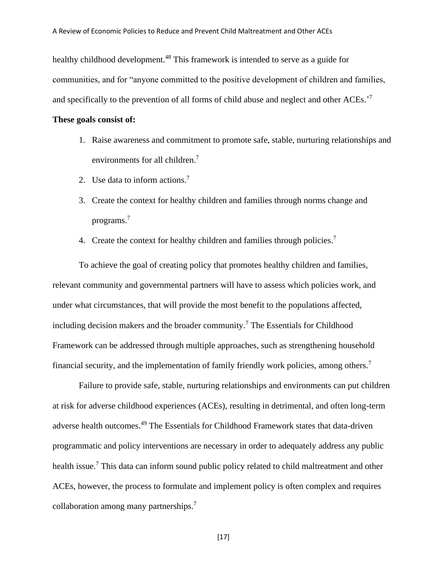healthy childhood development.<sup>48</sup> This framework is intended to serve as a guide for communities, and for "anyone committed to the positive development of children and families, and specifically to the prevention of all forms of child abuse and neglect and other ACEs.'<sup>7</sup>

#### **These goals consist of:**

- 1. Raise awareness and commitment to promote safe, stable, nurturing relationships and environments for all children.<sup>7</sup>
- 2. Use data to inform actions. 7
- 3. Create the context for healthy children and families through norms change and programs. 7
- 4. Create the context for healthy children and families through policies.<sup>7</sup>

To achieve the goal of creating policy that promotes healthy children and families, relevant community and governmental partners will have to assess which policies work, and under what circumstances, that will provide the most benefit to the populations affected, including decision makers and the broader community. <sup>7</sup> The Essentials for Childhood Framework can be addressed through multiple approaches, such as strengthening household financial security, and the implementation of family friendly work policies, among others.<sup>7</sup>

Failure to provide safe, stable, nurturing relationships and environments can put children at risk for adverse childhood experiences (ACEs), resulting in detrimental, and often long-term adverse health outcomes. <sup>49</sup> The Essentials for Childhood Framework states that data-driven programmatic and policy interventions are necessary in order to adequately address any public health issue.<sup>7</sup> This data can inform sound public policy related to child maltreatment and other ACEs, however, the process to formulate and implement policy is often complex and requires collaboration among many partnerships. 7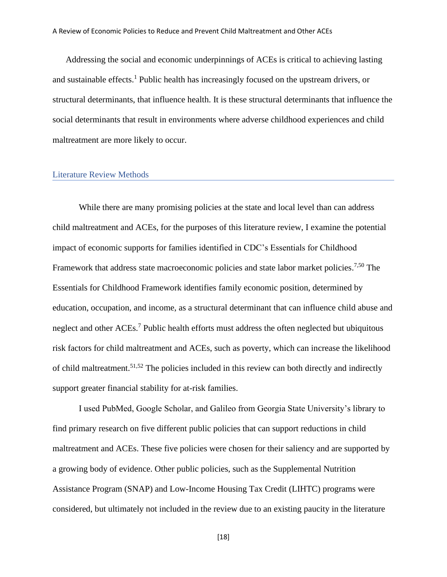Addressing the social and economic underpinnings of ACEs is critical to achieving lasting and sustainable effects. <sup>1</sup> Public health has increasingly focused on the upstream drivers, or structural determinants, that influence health. It is these structural determinants that influence the social determinants that result in environments where adverse childhood experiences and child maltreatment are more likely to occur.

#### <span id="page-18-0"></span>Literature Review Methods

While there are many promising policies at the state and local level than can address child maltreatment and ACEs, for the purposes of this literature review, I examine the potential impact of economic supports for families identified in CDC's Essentials for Childhood Framework that address state macroeconomic policies and state labor market policies.<sup>7,50</sup> The Essentials for Childhood Framework identifies family economic position, determined by education, occupation, and income, as a structural determinant that can influence child abuse and neglect and other ACEs.<sup>7</sup> Public health efforts must address the often neglected but ubiquitous risk factors for child maltreatment and ACEs, such as poverty, which can increase the likelihood of child maltreatment.51,52 The policies included in this review can both directly and indirectly support greater financial stability for at-risk families.

I used PubMed, Google Scholar, and Galileo from Georgia State University's library to find primary research on five different public policies that can support reductions in child maltreatment and ACEs. These five policies were chosen for their saliency and are supported by a growing body of evidence. Other public policies, such as the Supplemental Nutrition Assistance Program (SNAP) and Low-Income Housing Tax Credit (LIHTC) programs were considered, but ultimately not included in the review due to an existing paucity in the literature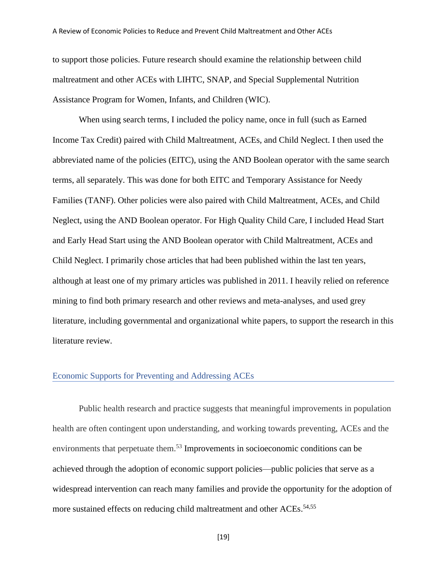to support those policies. Future research should examine the relationship between child maltreatment and other ACEs with LIHTC, SNAP, and Special Supplemental Nutrition Assistance Program for Women, Infants, and Children (WIC).

When using search terms, I included the policy name, once in full (such as Earned Income Tax Credit) paired with Child Maltreatment, ACEs, and Child Neglect. I then used the abbreviated name of the policies (EITC), using the AND Boolean operator with the same search terms, all separately. This was done for both EITC and Temporary Assistance for Needy Families (TANF). Other policies were also paired with Child Maltreatment, ACEs, and Child Neglect, using the AND Boolean operator. For High Quality Child Care, I included Head Start and Early Head Start using the AND Boolean operator with Child Maltreatment, ACEs and Child Neglect. I primarily chose articles that had been published within the last ten years, although at least one of my primary articles was published in 2011. I heavily relied on reference mining to find both primary research and other reviews and meta-analyses, and used grey literature, including governmental and organizational white papers, to support the research in this literature review.

#### <span id="page-19-0"></span>Economic Supports for Preventing and Addressing ACEs

Public health research and practice suggests that meaningful improvements in population health are often contingent upon understanding, and working towards preventing, ACEs and the environments that perpetuate them. <sup>53</sup> Improvements in socioeconomic conditions can be achieved through the adoption of economic support policies—public policies that serve as a widespread intervention can reach many families and provide the opportunity for the adoption of more sustained effects on reducing child maltreatment and other ACEs.<sup>54,55</sup>

[19]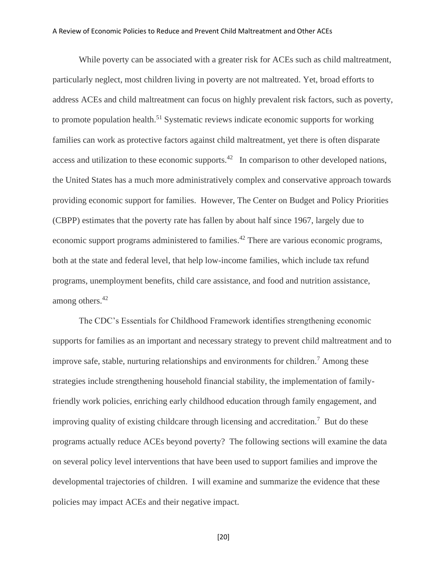While poverty can be associated with a greater risk for ACEs such as child maltreatment, particularly neglect, most children living in poverty are not maltreated. Yet, broad efforts to address ACEs and child maltreatment can focus on highly prevalent risk factors, such as poverty, to promote population health.<sup>51</sup> Systematic reviews indicate economic supports for working families can work as protective factors against child maltreatment, yet there is often disparate access and utilization to these economic supports.<sup>42</sup> In comparison to other developed nations, the United States has a much more administratively complex and conservative approach towards providing economic support for families. However, The Center on Budget and Policy Priorities (CBPP) estimates that the poverty rate has fallen by about half since 1967, largely due to economic support programs administered to families.<sup>42</sup> There are various economic programs, both at the state and federal level, that help low-income families, which include tax refund programs, unemployment benefits, child care assistance, and food and nutrition assistance, among others. 42

The CDC's Essentials for Childhood Framework identifies strengthening economic supports for families as an important and necessary strategy to prevent child maltreatment and to improve safe, stable, nurturing relationships and environments for children. <sup>7</sup> Among these strategies include strengthening household financial stability, the implementation of familyfriendly work policies, enriching early childhood education through family engagement, and improving quality of existing childcare through licensing and accreditation. 7 But do these programs actually reduce ACEs beyond poverty? The following sections will examine the data on several policy level interventions that have been used to support families and improve the developmental trajectories of children. I will examine and summarize the evidence that these policies may impact ACEs and their negative impact.

[20]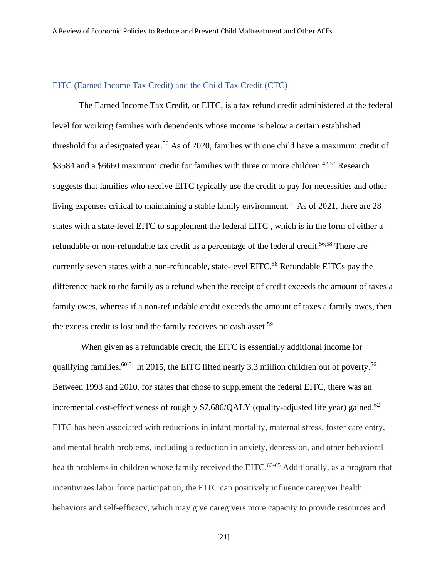### <span id="page-21-0"></span>EITC (Earned Income Tax Credit) and the Child Tax Credit (CTC)

The Earned Income Tax Credit, or EITC, is a tax refund credit administered at the federal level for working families with dependents whose income is below a certain established threshold for a designated year. <sup>56</sup> As of 2020, families with one child have a maximum credit of \$3584 and a \$6660 maximum credit for families with three or more children.<sup>42,57</sup> Research suggests that families who receive EITC typically use the credit to pay for necessities and other living expenses critical to maintaining a stable family environment.<sup>56</sup> As of 2021, there are 28 states with a state-level EITC to supplement the federal EITC , which is in the form of either a refundable or non-refundable tax credit as a percentage of the federal credit.<sup>56,58</sup> There are currently seven states with a non-refundable, state-level EITC.<sup>58</sup> Refundable EITCs pay the difference back to the family as a refund when the receipt of credit exceeds the amount of taxes a family owes, whereas if a non-refundable credit exceeds the amount of taxes a family owes, then the excess credit is lost and the family receives no cash asset.<sup>59</sup>

When given as a refundable credit, the EITC is essentially additional income for qualifying families.<sup>60,61</sup> In 2015, the EITC lifted nearly 3.3 million children out of poverty.<sup>56</sup> Between 1993 and 2010, for states that chose to supplement the federal EITC, there was an incremental cost-effectiveness of roughly \$7,686/QALY (quality-adjusted life year) gained.<sup>62</sup> EITC has been associated with reductions in infant mortality, maternal stress, foster care entry, and mental health problems, including a reduction in anxiety, depression, and other behavioral health problems in children whose family received the EITC.<sup>63-65</sup> Additionally, as a program that incentivizes labor force participation, the EITC can positively influence caregiver health behaviors and self-efficacy, which may give caregivers more capacity to provide resources and

[21]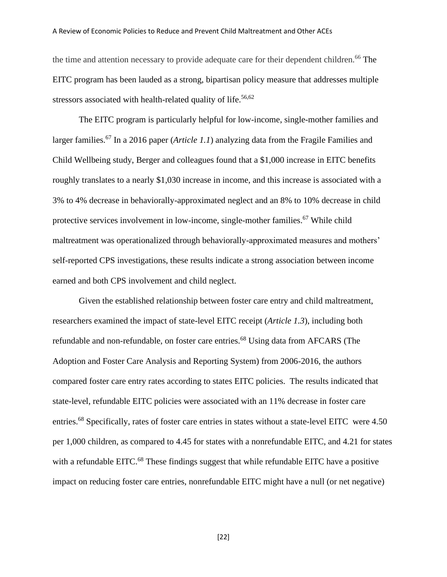the time and attention necessary to provide adequate care for their dependent children.<sup>66</sup> The EITC program has been lauded as a strong, bipartisan policy measure that addresses multiple stressors associated with health-related quality of life.<sup>56,62</sup>

The EITC program is particularly helpful for low-income, single-mother families and larger families.<sup>67</sup> In a 2016 paper (*Article 1.1*) analyzing data from the Fragile Families and Child Wellbeing study, Berger and colleagues found that a \$1,000 increase in EITC benefits roughly translates to a nearly \$1,030 increase in income, and this increase is associated with a 3% to 4% decrease in behaviorally-approximated neglect and an 8% to 10% decrease in child protective services involvement in low-income, single-mother families.<sup>67</sup> While child maltreatment was operationalized through behaviorally-approximated measures and mothers' self-reported CPS investigations, these results indicate a strong association between income earned and both CPS involvement and child neglect.

Given the established relationship between foster care entry and child maltreatment, researchers examined the impact of state-level EITC receipt (*Article 1.3*), including both refundable and non-refundable, on foster care entries.<sup>68</sup> Using data from AFCARS (The Adoption and Foster Care Analysis and Reporting System) from 2006-2016, the authors compared foster care entry rates according to states EITC policies. The results indicated that state-level, refundable EITC policies were associated with an 11% decrease in foster care entries.<sup>68</sup> Specifically, rates of foster care entries in states without a state-level EITC were 4.50 per 1,000 children, as compared to 4.45 for states with a nonrefundable EITC, and 4.21 for states with a refundable EITC.<sup>68</sup> These findings suggest that while refundable EITC have a positive impact on reducing foster care entries, nonrefundable EITC might have a null (or net negative)

[22]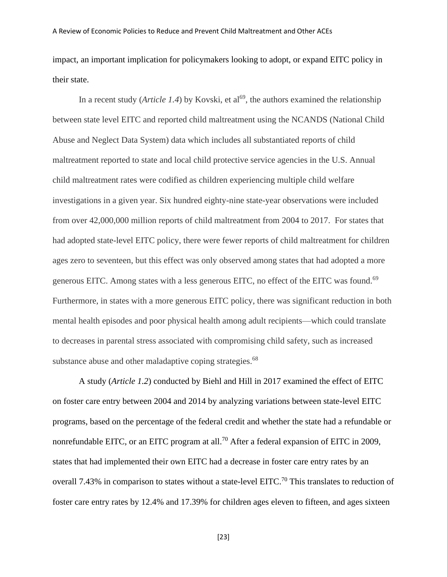impact, an important implication for policymakers looking to adopt, or expand EITC policy in their state.

In a recent study (*Article 1.4*) by Kovski, et al<sup>69</sup>, the authors examined the relationship between state level EITC and reported child maltreatment using the NCANDS (National Child Abuse and Neglect Data System) data which includes all substantiated reports of child maltreatment reported to state and local child protective service agencies in the U.S. Annual child maltreatment rates were codified as children experiencing multiple child welfare investigations in a given year. Six hundred eighty-nine state-year observations were included from over 42,000,000 million reports of child maltreatment from 2004 to 2017. For states that had adopted state-level EITC policy, there were fewer reports of child maltreatment for children ages zero to seventeen, but this effect was only observed among states that had adopted a more generous EITC. Among states with a less generous EITC, no effect of the EITC was found.<sup>69</sup> Furthermore, in states with a more generous EITC policy, there was significant reduction in both mental health episodes and poor physical health among adult recipients—which could translate to decreases in parental stress associated with compromising child safety, such as increased substance abuse and other maladaptive coping strategies.<sup>68</sup>

A study (*Article 1.2*) conducted by Biehl and Hill in 2017 examined the effect of EITC on foster care entry between 2004 and 2014 by analyzing variations between state-level EITC programs, based on the percentage of the federal credit and whether the state had a refundable or nonrefundable EITC, or an EITC program at all.<sup>70</sup> After a federal expansion of EITC in 2009, states that had implemented their own EITC had a decrease in foster care entry rates by an overall 7.43% in comparison to states without a state-level EITC.<sup>70</sup> This translates to reduction of foster care entry rates by 12.4% and 17.39% for children ages eleven to fifteen, and ages sixteen

[23]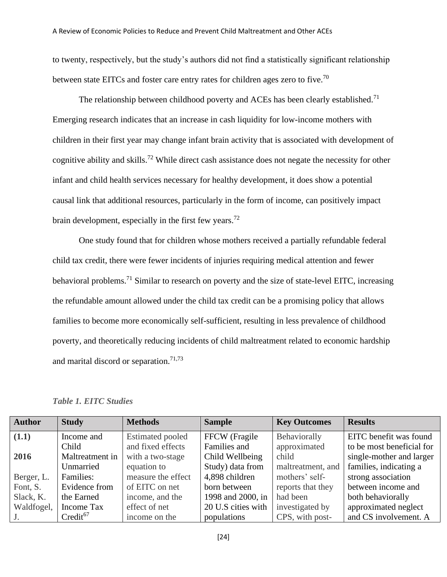to twenty, respectively, but the study's authors did not find a statistically significant relationship between state EITCs and foster care entry rates for children ages zero to five.<sup>70</sup>

The relationship between childhood poverty and ACEs has been clearly established.<sup>71</sup> Emerging research indicates that an increase in cash liquidity for low-income mothers with children in their first year may change infant brain activity that is associated with development of cognitive ability and skills.<sup>72</sup> While direct cash assistance does not negate the necessity for other infant and child health services necessary for healthy development, it does show a potential causal link that additional resources, particularly in the form of income, can positively impact brain development, especially in the first few years.<sup>72</sup>

One study found that for children whose mothers received a partially refundable federal child tax credit, there were fewer incidents of injuries requiring medical attention and fewer behavioral problems.<sup>71</sup> Similar to research on poverty and the size of state-level EITC, increasing the refundable amount allowed under the child tax credit can be a promising policy that allows families to become more economically self-sufficient, resulting in less prevalence of childhood poverty, and theoretically reducing incidents of child maltreatment related to economic hardship and marital discord or separation.<sup>71,73</sup>

*Table 1. EITC Studies*

| <b>Author</b> | <b>Study</b>    | <b>Methods</b>          | <b>Sample</b>      | <b>Key Outcomes</b> | <b>Results</b>            |
|---------------|-----------------|-------------------------|--------------------|---------------------|---------------------------|
| (1.1)         | Income and      | <b>Estimated pooled</b> | FFCW (Fragile      | Behaviorally        | EITC benefit was found    |
|               | Child           | and fixed effects       | Families and       | approximated        | to be most beneficial for |
| 2016          | Maltreatment in | with a two-stage        | Child Wellbeing    | child               | single-mother and larger  |
|               | Unmarried       | equation to             | Study) data from   | maltreatment, and   | families, indicating a    |
| Berger, L.    | Families:       | measure the effect      | 4,898 children     | mothers' self-      | strong association        |
| Font, S.      | Evidence from   | of EITC on net          | born between       | reports that they   | between income and        |
| Slack, K.     | the Earned      | income, and the         | 1998 and 2000, in  | had been            | both behaviorally         |
| Waldfogel,    | Income Tax      | effect of net           | 20 U.S cities with | investigated by     | approximated neglect      |
| $J_{\star}$   | $Credit^{67}$   | income on the           | populations        | CPS, with post-     | and CS involvement. A     |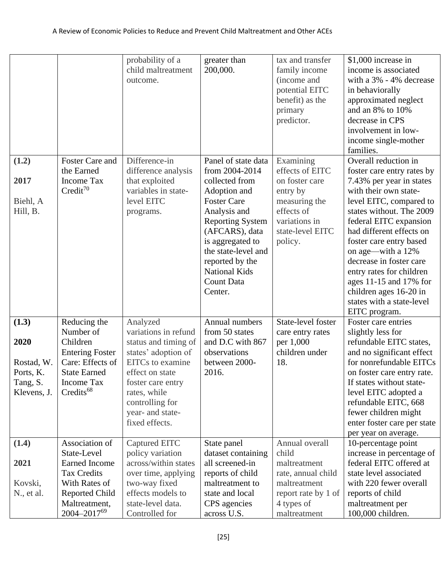|                                                                     |                                                                                                                                                          | probability of a<br>child maltreatment<br>outcome.                                                                                                                                                                   | greater than<br>200,000.                                                                                                                                                                                                                                                  | tax and transfer<br>family income<br>(income and<br>potential EITC<br>benefit) as the<br>primary<br>predictor.                            | \$1,000 increase in<br>income is associated<br>with a 3% - 4% decrease<br>in behaviorally<br>approximated neglect<br>and an 8% to 10%<br>decrease in CPS<br>involvement in low-<br>income single-mother<br>families.                                                                                                                                                                                                          |
|---------------------------------------------------------------------|----------------------------------------------------------------------------------------------------------------------------------------------------------|----------------------------------------------------------------------------------------------------------------------------------------------------------------------------------------------------------------------|---------------------------------------------------------------------------------------------------------------------------------------------------------------------------------------------------------------------------------------------------------------------------|-------------------------------------------------------------------------------------------------------------------------------------------|-------------------------------------------------------------------------------------------------------------------------------------------------------------------------------------------------------------------------------------------------------------------------------------------------------------------------------------------------------------------------------------------------------------------------------|
| (1.2)<br>2017<br>Biehl, A<br>Hill, B.                               | Foster Care and<br>the Earned<br><b>Income Tax</b><br>$Credit^{70}$                                                                                      | Difference-in<br>difference analysis<br>that exploited<br>variables in state-<br>level EITC<br>programs.                                                                                                             | Panel of state data<br>from 2004-2014<br>collected from<br>Adoption and<br><b>Foster Care</b><br>Analysis and<br><b>Reporting System</b><br>(AFCARS), data<br>is aggregated to<br>the state-level and<br>reported by the<br><b>National Kids</b><br>Count Data<br>Center. | Examining<br>effects of EITC<br>on foster care<br>entry by<br>measuring the<br>effects of<br>variations in<br>state-level EITC<br>policy. | Overall reduction in<br>foster care entry rates by<br>7.43% per year in states<br>with their own state-<br>level EITC, compared to<br>states without. The 2009<br>federal EITC expansion<br>had different effects on<br>foster care entry based<br>on age—with a 12%<br>decrease in foster care<br>entry rates for children<br>ages 11-15 and 17% for<br>children ages 16-20 in<br>states with a state-level<br>EITC program. |
| (1.3)<br>2020<br>Rostad, W.<br>Ports, K.<br>Tang, S.<br>Klevens, J. | Reducing the<br>Number of<br>Children<br><b>Entering Foster</b><br>Care: Effects of<br><b>State Earned</b><br><b>Income Tax</b><br>Credits <sup>68</sup> | Analyzed<br>variations in refund<br>status and timing of<br>states' adoption of<br>EITCs to examine<br>effect on state<br>foster care entry<br>rates, while<br>controlling for<br>year- and state-<br>fixed effects. | Annual numbers<br>from 50 states<br>and D.C with 867<br>observations<br>between 2000-<br>2016.                                                                                                                                                                            | State-level foster<br>care entry rates<br>per 1,000<br>children under<br>18.                                                              | Foster care entries<br>slightly less for<br>refundable EITC states,<br>and no significant effect<br>for nonrefundable EITCs<br>on foster care entry rate.<br>If states without state-<br>level EITC adopted a<br>refundable EITC, 668<br>fewer children might<br>enter foster care per state<br>per year on average.                                                                                                          |
| (1.4)<br>2021<br>Kovski,<br>N., et al.                              | Association of<br>State-Level<br><b>Earned Income</b><br><b>Tax Credits</b><br>With Rates of<br>Reported Child<br>Maltreatment,<br>2004-201769           | Captured EITC<br>policy variation<br>across/within states<br>over time, applying<br>two-way fixed<br>effects models to<br>state-level data.<br>Controlled for                                                        | State panel<br>dataset containing<br>all screened-in<br>reports of child<br>maltreatment to<br>state and local<br>CPS agencies<br>across U.S.                                                                                                                             | Annual overall<br>child<br>maltreatment<br>rate, annual child<br>maltreatment<br>report rate by 1 of<br>4 types of<br>maltreatment        | 10-percentage point<br>increase in percentage of<br>federal EITC offered at<br>state level associated<br>with 220 fewer overall<br>reports of child<br>maltreatment per<br>100,000 children.                                                                                                                                                                                                                                  |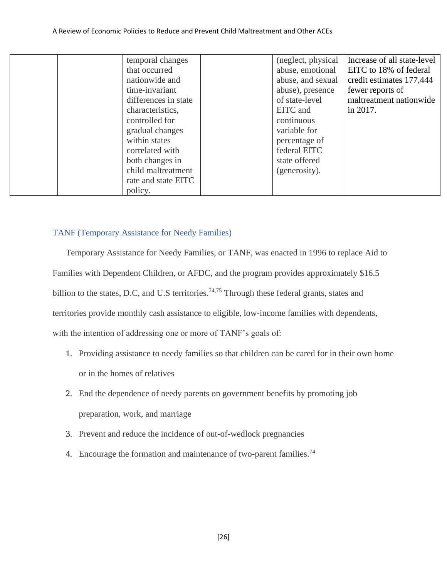| temporal changes     | (neglect, physical) | Increase of all state-level |
|----------------------|---------------------|-----------------------------|
|                      |                     |                             |
| that occurred        | abuse, emotional    | EITC to 18% of federal      |
| nationwide and       | abuse, and sexual   | credit estimates 177,444    |
| time-invariant       | abuse), presence    | fewer reports of            |
| differences in state | of state-level      | maltreatment nationwide     |
| characteristics,     | EITC and            | in 2017.                    |
| controlled for       | continuous          |                             |
| gradual changes      | variable for        |                             |
| within states        | percentage of       |                             |
| correlated with      | federal EITC        |                             |
| both changes in      | state offered       |                             |
| child maltreatment   | (generosity).       |                             |
| rate and state EITC  |                     |                             |
| policy.              |                     |                             |

#### <span id="page-26-0"></span>TANF (Temporary Assistance for Needy Families)

Temporary Assistance for Needy Families, or TANF, was enacted in 1996 to replace Aid to Families with Dependent Children, or AFDC, and the program provides approximately \$16.5 billion to the states, D.C, and U.S territories.<sup>74,75</sup> Through these federal grants, states and territories provide monthly cash assistance to eligible, low-income families with dependents, with the intention of addressing one or more of TANF's goals of:

- 1. Providing assistance to needy families so that children can be cared for in their own home or in the homes of relatives
- 2. End the dependence of needy parents on government benefits by promoting job preparation, work, and marriage
- 3. Prevent and reduce the incidence of out-of-wedlock pregnancies
- 4. Encourage the formation and maintenance of two-parent families.<sup>74</sup>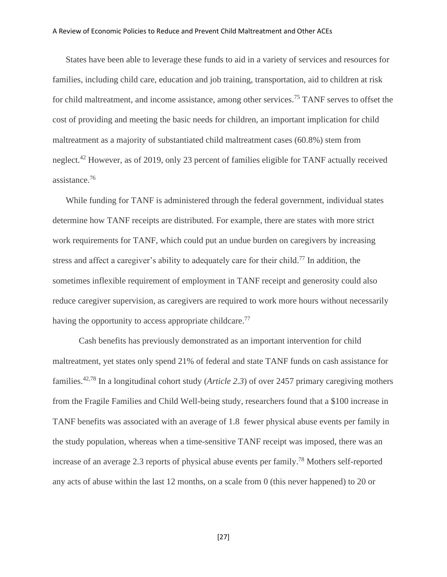States have been able to leverage these funds to aid in a variety of services and resources for families, including child care, education and job training, transportation, aid to children at risk for child maltreatment, and income assistance, among other services.<sup>75</sup> TANF serves to offset the cost of providing and meeting the basic needs for children, an important implication for child maltreatment as a majority of substantiated child maltreatment cases (60.8%) stem from neglect.<sup>42</sup> However, as of 2019, only 23 percent of families eligible for TANF actually received assistance. 76

While funding for TANF is administered through the federal government, individual states determine how TANF receipts are distributed. For example, there are states with more strict work requirements for TANF, which could put an undue burden on caregivers by increasing stress and affect a caregiver's ability to adequately care for their child.<sup>77</sup> In addition, the sometimes inflexible requirement of employment in TANF receipt and generosity could also reduce caregiver supervision, as caregivers are required to work more hours without necessarily having the opportunity to access appropriate childcare.<sup>77</sup>

Cash benefits has previously demonstrated as an important intervention for child maltreatment, yet states only spend 21% of federal and state TANF funds on cash assistance for families. 42,78 In a longitudinal cohort study (*Article 2.3*) of over 2457 primary caregiving mothers from the Fragile Families and Child Well-being study, researchers found that a \$100 increase in TANF benefits was associated with an average of 1.8 fewer physical abuse events per family in the study population, whereas when a time-sensitive TANF receipt was imposed, there was an increase of an average 2.3 reports of physical abuse events per family. <sup>78</sup> Mothers self-reported any acts of abuse within the last 12 months, on a scale from 0 (this never happened) to 20 or

[27]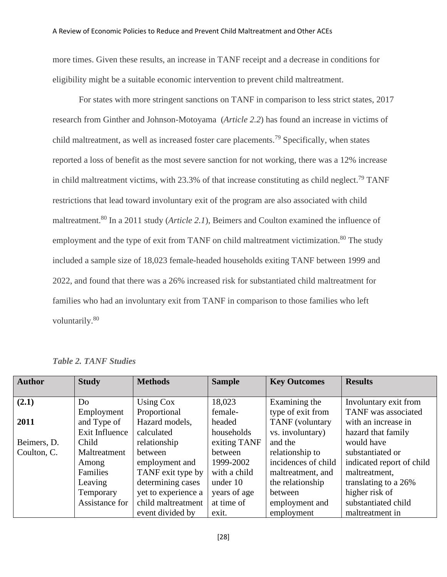more times. Given these results, an increase in TANF receipt and a decrease in conditions for eligibility might be a suitable economic intervention to prevent child maltreatment.

For states with more stringent sanctions on TANF in comparison to less strict states, 2017 research from Ginther and Johnson-Motoyama (*Article 2.2*) has found an increase in victims of child maltreatment, as well as increased foster care placements.<sup>79</sup> Specifically, when states reported a loss of benefit as the most severe sanction for not working, there was a 12% increase in child maltreatment victims, with  $23.3\%$  of that increase constituting as child neglect.<sup>79</sup> TANF restrictions that lead toward involuntary exit of the program are also associated with child maltreatment.<sup>80</sup> In a 2011 study (*Article 2.1*), Beimers and Coulton examined the influence of employment and the type of exit from TANF on child maltreatment victimization.<sup>80</sup> The study included a sample size of 18,023 female-headed households exiting TANF between 1999 and 2022, and found that there was a 26% increased risk for substantiated child maltreatment for families who had an involuntary exit from TANF in comparison to those families who left voluntarily.<sup>80</sup>

| <b>Author</b> | <b>Study</b>   | <b>Methods</b>      | <b>Sample</b> | <b>Key Outcomes</b> | <b>Results</b>            |
|---------------|----------------|---------------------|---------------|---------------------|---------------------------|
|               |                |                     |               |                     |                           |
| (2.1)         | Do             | Using Cox           | 18,023        | Examining the       | Involuntary exit from     |
|               | Employment     | Proportional        | female-       | type of exit from   | TANF was associated       |
| 2011          | and Type of    | Hazard models,      | headed        | TANF (voluntary     | with an increase in       |
|               | Exit Influence | calculated          | households    | vs. involuntary)    | hazard that family        |
| Beimers, D.   | Child          | relationship        | exiting TANF  | and the             | would have                |
| Coulton, C.   | Maltreatment   | between             | between       | relationship to     | substantiated or          |
|               | Among          | employment and      | 1999-2002     | incidences of child | indicated report of child |
|               | Families       | TANF exit type by   | with a child  | maltreatment, and   | maltreatment,             |
|               | Leaving        | determining cases   | under 10      | the relationship    | translating to a 26%      |
|               | Temporary      | yet to experience a | years of age  | between             | higher risk of            |
|               | Assistance for | child maltreatment  | at time of    | employment and      | substantiated child       |
|               |                | event divided by    | exit.         | employment          | maltreatment in           |

*Table 2. TANF Studies*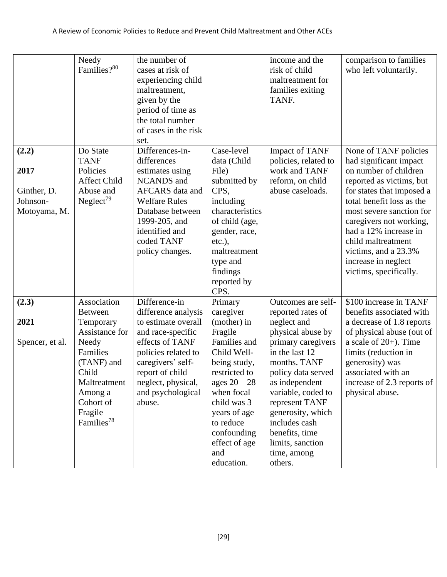|                                                          | Needy<br>Families?80                                                                                                                                                                  | the number of<br>cases at risk of<br>experiencing child<br>maltreatment,<br>given by the<br>period of time as<br>the total number<br>of cases in the risk<br>set.                                                       |                                                                                                                                                                                                                            | income and the<br>risk of child<br>maltreatment for<br>families exiting<br>TANF.                                                                                                                                                                                                                | comparison to families<br>who left voluntarily.                                                                                                                                                                                                                                                                                               |
|----------------------------------------------------------|---------------------------------------------------------------------------------------------------------------------------------------------------------------------------------------|-------------------------------------------------------------------------------------------------------------------------------------------------------------------------------------------------------------------------|----------------------------------------------------------------------------------------------------------------------------------------------------------------------------------------------------------------------------|-------------------------------------------------------------------------------------------------------------------------------------------------------------------------------------------------------------------------------------------------------------------------------------------------|-----------------------------------------------------------------------------------------------------------------------------------------------------------------------------------------------------------------------------------------------------------------------------------------------------------------------------------------------|
| (2.2)<br>2017<br>Ginther, D.<br>Johnson-<br>Motoyama, M. | Do State<br><b>TANF</b><br>Policies<br><b>Affect Child</b><br>Abuse and<br>Neglect <sup>79</sup>                                                                                      | Differences-in-<br>differences<br>estimates using<br><b>NCANDS</b> and<br>AFCARS data and<br><b>Welfare Rules</b><br>Database between<br>1999-205, and<br>identified and<br>coded TANF<br>policy changes.               | Case-level<br>data (Child<br>File)<br>submitted by<br>CPS,<br>including<br>characteristics<br>of child (age,<br>gender, race,<br>$etc.$ ),<br>maltreatment<br>type and<br>findings<br>reported by<br>CPS.                  | <b>Impact of TANF</b><br>policies, related to<br>work and TANF<br>reform, on child<br>abuse caseloads.                                                                                                                                                                                          | None of TANF policies<br>had significant impact<br>on number of children<br>reported as victims, but<br>for states that imposed a<br>total benefit loss as the<br>most severe sanction for<br>caregivers not working,<br>had a 12% increase in<br>child maltreatment<br>victims, and a 23.3%<br>increase in neglect<br>victims, specifically. |
| (2.3)<br>2021<br>Spencer, et al.                         | Association<br><b>Between</b><br>Temporary<br>Assistance for<br>Needy<br>Families<br>(TANF) and<br>Child<br>Maltreatment<br>Among a<br>Cohort of<br>Fragile<br>Families <sup>78</sup> | Difference-in<br>difference analysis<br>to estimate overall<br>and race-specific<br>effects of TANF<br>policies related to<br>caregivers' self-<br>report of child<br>neglect, physical,<br>and psychological<br>abuse. | Primary<br>caregiver<br>(mother) in<br>Fragile<br>Families and<br>Child Well-<br>being study,<br>restricted to<br>ages $20 - 28$<br>when focal<br>child was 3<br>years of age<br>to reduce<br>confounding<br>effect of age | Outcomes are self-<br>reported rates of<br>neglect and<br>physical abuse by<br>primary caregivers<br>in the last 12<br>months. TANF<br>policy data served<br>as independent<br>variable, coded to<br>represent TANF<br>generosity, which<br>includes cash<br>benefits, time<br>limits, sanction | \$100 increase in TANF<br>benefits associated with<br>a decrease of 1.8 reports<br>of physical abuse (out of<br>a scale of $20+$ ). Time<br>limits (reduction in<br>generosity) was<br>associated with an<br>increase of 2.3 reports of<br>physical abuse.                                                                                    |
|                                                          |                                                                                                                                                                                       |                                                                                                                                                                                                                         | and<br>education.                                                                                                                                                                                                          | time, among<br>others.                                                                                                                                                                                                                                                                          |                                                                                                                                                                                                                                                                                                                                               |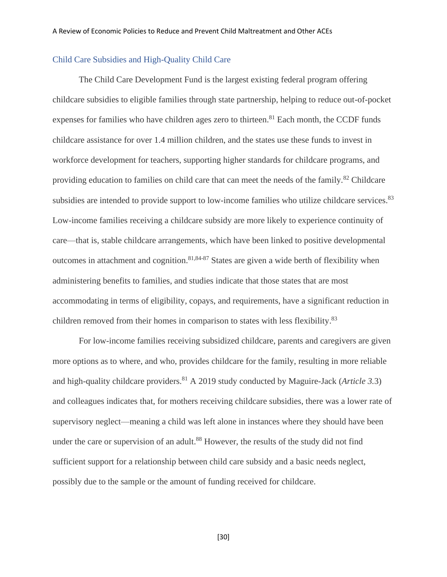#### <span id="page-30-0"></span>Child Care Subsidies and High-Quality Child Care

The Child Care Development Fund is the largest existing federal program offering childcare subsidies to eligible families through state partnership, helping to reduce out-of-pocket expenses for families who have children ages zero to thirteen.<sup>81</sup> Each month, the CCDF funds childcare assistance for over 1.4 million children, and the states use these funds to invest in workforce development for teachers, supporting higher standards for childcare programs, and providing education to families on child care that can meet the needs of the family.<sup>82</sup> Childcare subsidies are intended to provide support to low-income families who utilize childcare services.<sup>83</sup> Low-income families receiving a childcare subsidy are more likely to experience continuity of care—that is, stable childcare arrangements, which have been linked to positive developmental outcomes in attachment and cognition.<sup>81,84-87</sup> States are given a wide berth of flexibility when administering benefits to families, and studies indicate that those states that are most accommodating in terms of eligibility, copays, and requirements, have a significant reduction in children removed from their homes in comparison to states with less flexibility.<sup>83</sup>

For low-income families receiving subsidized childcare, parents and caregivers are given more options as to where, and who, provides childcare for the family, resulting in more reliable and high-quality childcare providers. <sup>81</sup> A 2019 study conducted by Maguire-Jack (*Article 3.*3) and colleagues indicates that, for mothers receiving childcare subsidies, there was a lower rate of supervisory neglect—meaning a child was left alone in instances where they should have been under the care or supervision of an adult.<sup>88</sup> However, the results of the study did not find sufficient support for a relationship between child care subsidy and a basic needs neglect, possibly due to the sample or the amount of funding received for childcare.

[30]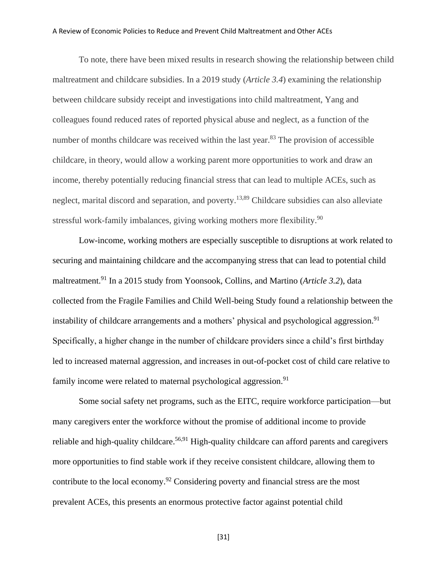#### A Review of Economic Policies to Reduce and Prevent Child Maltreatment and Other ACEs

To note, there have been mixed results in research showing the relationship between child maltreatment and childcare subsidies. In a 2019 study (*Article 3.4*) examining the relationship between childcare subsidy receipt and investigations into child maltreatment, Yang and colleagues found reduced rates of reported physical abuse and neglect, as a function of the number of months childcare was received within the last year.<sup>83</sup> The provision of accessible childcare, in theory, would allow a working parent more opportunities to work and draw an income, thereby potentially reducing financial stress that can lead to multiple ACEs, such as neglect, marital discord and separation, and poverty.<sup>13,89</sup> Childcare subsidies can also alleviate stressful work-family imbalances, giving working mothers more flexibility.<sup>90</sup>

Low-income, working mothers are especially susceptible to disruptions at work related to securing and maintaining childcare and the accompanying stress that can lead to potential child maltreatment. <sup>91</sup> In a 2015 study from Yoonsook, Collins, and Martino (*Article 3.2*), data collected from the Fragile Families and Child Well-being Study found a relationship between the instability of childcare arrangements and a mothers' physical and psychological aggression.<sup>91</sup> Specifically, a higher change in the number of childcare providers since a child's first birthday led to increased maternal aggression, and increases in out-of-pocket cost of child care relative to family income were related to maternal psychological aggression.<sup>91</sup>

Some social safety net programs, such as the EITC, require workforce participation—but many caregivers enter the workforce without the promise of additional income to provide reliable and high-quality childcare.<sup>56,91</sup> High-quality childcare can afford parents and caregivers more opportunities to find stable work if they receive consistent childcare, allowing them to contribute to the local economy.<sup>92</sup> Considering poverty and financial stress are the most prevalent ACEs, this presents an enormous protective factor against potential child

[31]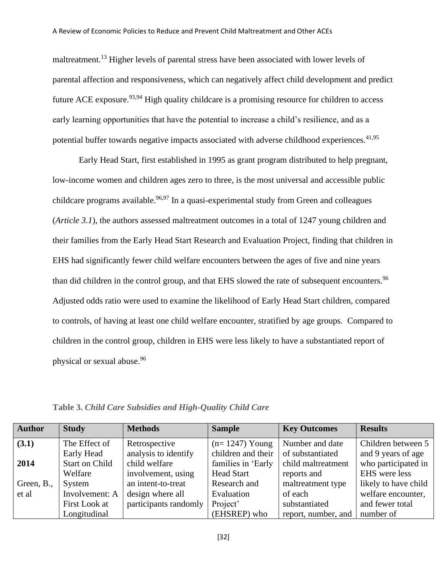maltreatment.<sup>13</sup> Higher levels of parental stress have been associated with lower levels of parental affection and responsiveness, which can negatively affect child development and predict future ACE exposure.<sup>93,94</sup> High quality childcare is a promising resource for children to access early learning opportunities that have the potential to increase a child's resilience, and as a potential buffer towards negative impacts associated with adverse childhood experiences. $41,95$ 

Early Head Start, first established in 1995 as grant program distributed to help pregnant, low-income women and children ages zero to three, is the most universal and accessible public childcare programs available.<sup>96,97</sup> In a quasi-experimental study from Green and colleagues (*Article 3.1*), the authors assessed maltreatment outcomes in a total of 1247 young children and their families from the Early Head Start Research and Evaluation Project, finding that children in EHS had significantly fewer child welfare encounters between the ages of five and nine years than did children in the control group, and that EHS slowed the rate of subsequent encounters.<sup>96</sup> Adjusted odds ratio were used to examine the likelihood of Early Head Start children, compared to controls, of having at least one child welfare encounter, stratified by age groups. Compared to children in the control group, children in EHS were less likely to have a substantiated report of physical or sexual abuse. 96

| <b>Author</b> | <b>Study</b>          | <b>Methods</b>        | <b>Sample</b>      | <b>Key Outcomes</b> | <b>Results</b>       |
|---------------|-----------------------|-----------------------|--------------------|---------------------|----------------------|
| (3.1)         | The Effect of         | Retrospective         | $(n=1247)$ Young   | Number and date     | Children between 5   |
|               | Early Head            | analysis to identify  | children and their | of substantiated    | and 9 years of age   |
| 2014          | <b>Start on Child</b> | child welfare         | families in 'Early | child maltreatment  | who participated in  |
|               | Welfare               | involvement, using    | <b>Head Start</b>  | reports and         | EHS were less        |
| Green, B.,    | System                | an intent-to-treat    | Research and       | maltreatment type   | likely to have child |
| et al         | Involvement: A        | design where all      | Evaluation         | of each             | welfare encounter,   |
|               | First Look at         | participants randomly | Project'           | substantiated       | and fewer total      |
|               | Longitudinal          |                       | (EHSREP) who       | report, number, and | number of            |

**Table 3.** *Child Care Subsidies and High-Quality Child Care*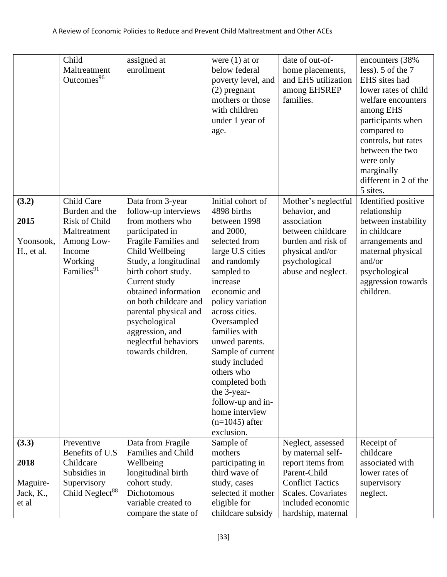|                                          | Child<br>Maltreatment<br>Outcomes <sup>96</sup>                                                                                   | assigned at<br>enrollment                                                                                                                                                                                                                                                                                                                              | were $(1)$ at or<br>below federal<br>poverty level, and<br>$(2)$ pregnant<br>mothers or those<br>with children<br>under 1 year of<br>age.                                                                                                                                                                                                                                                                           | date of out-of-<br>home placements,<br>and EHS utilization<br>among EHSREP<br>families.                                                                  | encounters (38%<br>less). 5 of the 7<br>EHS sites had<br>lower rates of child<br>welfare encounters<br>among EHS<br>participants when<br>compared to<br>controls, but rates<br>between the two<br>were only<br>marginally<br>different in 2 of the<br>5 sites. |
|------------------------------------------|-----------------------------------------------------------------------------------------------------------------------------------|--------------------------------------------------------------------------------------------------------------------------------------------------------------------------------------------------------------------------------------------------------------------------------------------------------------------------------------------------------|---------------------------------------------------------------------------------------------------------------------------------------------------------------------------------------------------------------------------------------------------------------------------------------------------------------------------------------------------------------------------------------------------------------------|----------------------------------------------------------------------------------------------------------------------------------------------------------|----------------------------------------------------------------------------------------------------------------------------------------------------------------------------------------------------------------------------------------------------------------|
| (3.2)<br>2015<br>Yoonsook,<br>H., et al. | Child Care<br>Burden and the<br><b>Risk of Child</b><br>Maltreatment<br>Among Low-<br>Income<br>Working<br>Families <sup>91</sup> | Data from 3-year<br>follow-up interviews<br>from mothers who<br>participated in<br>Fragile Families and<br>Child Wellbeing<br>Study, a longitudinal<br>birth cohort study.<br>Current study<br>obtained information<br>on both childcare and<br>parental physical and<br>psychological<br>aggression, and<br>neglectful behaviors<br>towards children. | Initial cohort of<br>4898 births<br>between 1998<br>and 2000,<br>selected from<br>large U.S cities<br>and randomly<br>sampled to<br>increase<br>economic and<br>policy variation<br>across cities.<br>Oversampled<br>families with<br>unwed parents.<br>Sample of current<br>study included<br>others who<br>completed both<br>the 3-year-<br>follow-up and in-<br>home interview<br>$(n=1045)$ after<br>exclusion. | Mother's neglectful<br>behavior, and<br>association<br>between childcare<br>burden and risk of<br>physical and/or<br>psychological<br>abuse and neglect. | Identified positive<br>relationship<br>between instability<br>in childcare<br>arrangements and<br>maternal physical<br>and/or<br>psychological<br>aggression towards<br>children.                                                                              |
| (3.3)                                    | Preventive                                                                                                                        | Data from Fragile                                                                                                                                                                                                                                                                                                                                      | Sample of                                                                                                                                                                                                                                                                                                                                                                                                           | Neglect, assessed                                                                                                                                        | Receipt of                                                                                                                                                                                                                                                     |
| 2018                                     | Benefits of U.S.<br>Childcare<br>Subsidies in                                                                                     | <b>Families and Child</b><br>Wellbeing<br>longitudinal birth                                                                                                                                                                                                                                                                                           | mothers<br>participating in<br>third wave of                                                                                                                                                                                                                                                                                                                                                                        | by maternal self-<br>report items from<br>Parent-Child                                                                                                   | childcare<br>associated with<br>lower rates of                                                                                                                                                                                                                 |
| Maguire-<br>Jack, K.,<br>et al           | Supervisory<br>Child Neglect <sup>88</sup>                                                                                        | cohort study.<br>Dichotomous<br>variable created to<br>compare the state of                                                                                                                                                                                                                                                                            | study, cases<br>selected if mother<br>eligible for<br>childcare subsidy                                                                                                                                                                                                                                                                                                                                             | <b>Conflict Tactics</b><br>Scales. Covariates<br>included economic<br>hardship, maternal                                                                 | supervisory<br>neglect.                                                                                                                                                                                                                                        |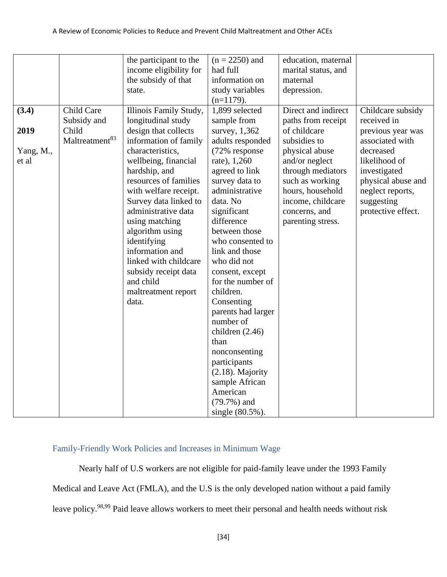|                    |                                    | the participant to the<br>income eligibility for<br>the subsidy of that<br>state.                                                                                                                                                                                                                                                | $(n = 2250)$ and<br>had full<br>information on<br>study variables<br>$(n=1179)$ .                                                                                                                                                                                                                                                                                                                                                                               | education, maternal<br>marital status, and<br>maternal<br>depression.                                                                                   |                                                                                                                          |
|--------------------|------------------------------------|----------------------------------------------------------------------------------------------------------------------------------------------------------------------------------------------------------------------------------------------------------------------------------------------------------------------------------|-----------------------------------------------------------------------------------------------------------------------------------------------------------------------------------------------------------------------------------------------------------------------------------------------------------------------------------------------------------------------------------------------------------------------------------------------------------------|---------------------------------------------------------------------------------------------------------------------------------------------------------|--------------------------------------------------------------------------------------------------------------------------|
| (3.4)<br>2019      | Child Care<br>Subsidy and<br>Child | Illinois Family Study,<br>longitudinal study<br>design that collects                                                                                                                                                                                                                                                             | 1,899 selected<br>sample from<br>survey, 1,362                                                                                                                                                                                                                                                                                                                                                                                                                  | Direct and indirect<br>paths from receipt<br>of childcare                                                                                               | Childcare subsidy<br>received in<br>previous year was                                                                    |
|                    | Maltreatment <sup>83</sup>         | information of family                                                                                                                                                                                                                                                                                                            | adults responded                                                                                                                                                                                                                                                                                                                                                                                                                                                | subsidies to                                                                                                                                            | associated with                                                                                                          |
| Yang, M.,<br>et al |                                    | characteristics,<br>wellbeing, financial<br>hardship, and<br>resources of families<br>with welfare receipt.<br>Survey data linked to<br>administrative data<br>using matching<br>algorithm using<br>identifying<br>information and<br>linked with childcare<br>subsidy receipt data<br>and child<br>maltreatment report<br>data. | (72% response<br>rate), 1,260<br>agreed to link<br>survey data to<br>administrative<br>data. No<br>significant<br>difference<br>between those<br>who consented to<br>link and those<br>who did not<br>consent, except<br>for the number of<br>children.<br>Consenting<br>parents had larger<br>number of<br>children $(2.46)$<br>than<br>nonconsenting<br>participants<br>$(2.18)$ . Majority<br>sample African<br>American<br>$(79.7%)$ and<br>single (80.5%). | physical abuse<br>and/or neglect<br>through mediators<br>such as working<br>hours, household<br>income, childcare<br>concerns, and<br>parenting stress. | decreased<br>likelihood of<br>investigated<br>physical abuse and<br>neglect reports,<br>suggesting<br>protective effect. |

## <span id="page-34-0"></span>Family-Friendly Work Policies and Increases in Minimum Wage

Nearly half of U.S workers are not eligible for paid-family leave under the 1993 Family Medical and Leave Act (FMLA), and the U.S is the only developed nation without a paid family leave policy.<sup>98,99</sup> Paid leave allows workers to meet their personal and health needs without risk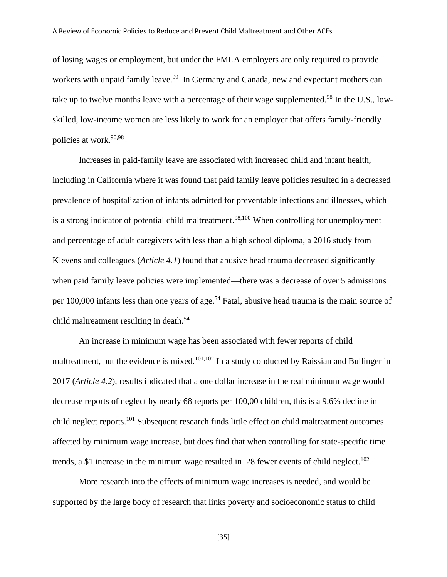of losing wages or employment, but under the FMLA employers are only required to provide workers with unpaid family leave.<sup>99</sup> In Germany and Canada, new and expectant mothers can take up to twelve months leave with a percentage of their wage supplemented.<sup>98</sup> In the U.S., lowskilled, low-income women are less likely to work for an employer that offers family-friendly policies at work.<sup>90,98</sup>

Increases in paid-family leave are associated with increased child and infant health, including in California where it was found that paid family leave policies resulted in a decreased prevalence of hospitalization of infants admitted for preventable infections and illnesses, which is a strong indicator of potential child maltreatment.<sup>98,100</sup> When controlling for unemployment and percentage of adult caregivers with less than a high school diploma, a 2016 study from Klevens and colleagues (*Article 4.1*) found that abusive head trauma decreased significantly when paid family leave policies were implemented—there was a decrease of over 5 admissions per 100,000 infants less than one years of age.<sup>54</sup> Fatal, abusive head trauma is the main source of child maltreatment resulting in death. 54

An increase in minimum wage has been associated with fewer reports of child maltreatment, but the evidence is mixed.<sup>101,102</sup> In a study conducted by Raissian and Bullinger in 2017 (*Article 4.2*), results indicated that a one dollar increase in the real minimum wage would decrease reports of neglect by nearly 68 reports per 100,00 children, this is a 9.6% decline in child neglect reports.<sup>101</sup> Subsequent research finds little effect on child maltreatment outcomes affected by minimum wage increase, but does find that when controlling for state-specific time trends, a \$1 increase in the minimum wage resulted in .28 fewer events of child neglect.<sup>102</sup>

More research into the effects of minimum wage increases is needed, and would be supported by the large body of research that links poverty and socioeconomic status to child

[35]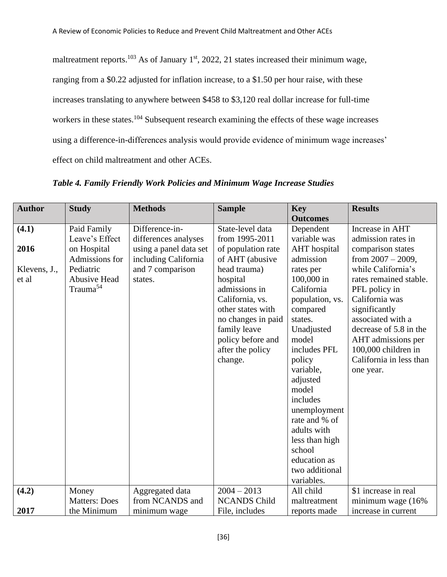maltreatment reports.<sup>103</sup> As of January 1<sup>st</sup>, 2022, 21 states increased their minimum wage, ranging from a \$0.22 adjusted for inflation increase, to a \$1.50 per hour raise, with these increases translating to anywhere between \$458 to \$3,120 real dollar increase for full-time workers in these states.<sup>104</sup> Subsequent research examining the effects of these wage increases using a difference-in-differences analysis would provide evidence of minimum wage increases' effect on child maltreatment and other ACEs.

| <b>Author</b> | <b>Study</b>         | <b>Methods</b>         | <b>Sample</b>       | <b>Key</b><br><b>Outcomes</b> | <b>Results</b>          |
|---------------|----------------------|------------------------|---------------------|-------------------------------|-------------------------|
| (4.1)         | Paid Family          | Difference-in-         | State-level data    | Dependent                     | Increase in AHT         |
|               | Leave's Effect       | differences analyses   | from 1995-2011      | variable was                  | admission rates in      |
| 2016          | on Hospital          | using a panel data set | of population rate  | <b>AHT</b> hospital           | comparison states       |
|               | Admissions for       | including California   | of AHT (abusive     | admission                     | from $2007 - 2009$ ,    |
| Klevens, J.,  | Pediatric            | and 7 comparison       | head trauma)        | rates per                     | while California's      |
| et al         | <b>Abusive Head</b>  | states.                | hospital            | 100,000 in                    | rates remained stable.  |
|               | Trauma <sup>54</sup> |                        | admissions in       | California                    | PFL policy in           |
|               |                      |                        | California, vs.     | population, vs.               | California was          |
|               |                      |                        | other states with   | compared                      | significantly           |
|               |                      |                        | no changes in paid  | states.                       | associated with a       |
|               |                      |                        | family leave        | Unadjusted                    | decrease of 5.8 in the  |
|               |                      |                        | policy before and   | model                         | AHT admissions per      |
|               |                      |                        | after the policy    | includes PFL                  | 100,000 children in     |
|               |                      |                        | change.             | policy                        | California in less than |
|               |                      |                        |                     | variable,                     | one year.               |
|               |                      |                        |                     | adjusted                      |                         |
|               |                      |                        |                     | model                         |                         |
|               |                      |                        |                     | includes                      |                         |
|               |                      |                        |                     | unemployment                  |                         |
|               |                      |                        |                     | rate and % of                 |                         |
|               |                      |                        |                     | adults with                   |                         |
|               |                      |                        |                     | less than high                |                         |
|               |                      |                        |                     | school                        |                         |
|               |                      |                        |                     | education as                  |                         |
|               |                      |                        |                     | two additional                |                         |
|               |                      |                        |                     | variables.                    |                         |
| (4.2)         | Money                | Aggregated data        | $2004 - 2013$       | All child                     | \$1 increase in real    |
|               | <b>Matters: Does</b> | from NCANDS and        | <b>NCANDS Child</b> | maltreatment                  | minimum wage (16%       |
| 2017          | the Minimum          | minimum wage           | File, includes      | reports made                  | increase in current     |

*Table 4. Family Friendly Work Policies and Minimum Wage Increase Studies*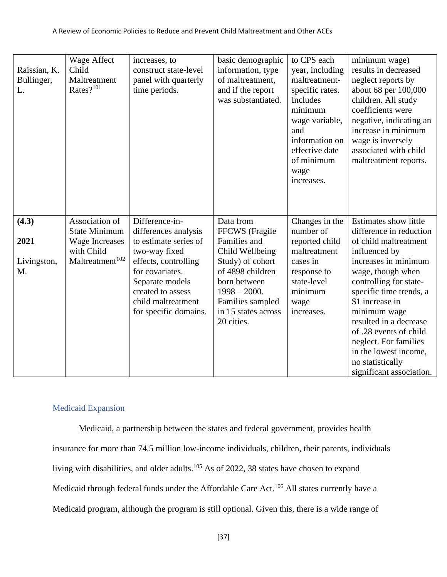| Raissian, K.<br>Bullinger,<br>L. | Wage Affect<br>Child<br>Maltreatment<br>Rates? <sup>101</sup> | increases, to<br>construct state-level<br>panel with quarterly<br>time periods. | basic demographic<br>information, type<br>of maltreatment,<br>and if the report<br>was substantiated. | to CPS each<br>year, including<br>maltreatment-<br>specific rates.<br><b>Includes</b><br>minimum<br>wage variable,<br>and<br>information on<br>effective date<br>of minimum<br>wage<br>increases. | minimum wage)<br>results in decreased<br>neglect reports by<br>about 68 per 100,000<br>children. All study<br>coefficients were<br>negative, indicating an<br>increase in minimum<br>wage is inversely<br>associated with child<br>maltreatment reports. |
|----------------------------------|---------------------------------------------------------------|---------------------------------------------------------------------------------|-------------------------------------------------------------------------------------------------------|---------------------------------------------------------------------------------------------------------------------------------------------------------------------------------------------------|----------------------------------------------------------------------------------------------------------------------------------------------------------------------------------------------------------------------------------------------------------|
| (4.3)                            | Association of<br><b>State Minimum</b>                        | Difference-in-<br>differences analysis                                          | Data from<br>FFCWS (Fragile                                                                           | Changes in the<br>number of                                                                                                                                                                       | <b>Estimates show little</b><br>difference in reduction                                                                                                                                                                                                  |
| 2021                             | <b>Wage Increases</b><br>with Child                           | to estimate series of<br>two-way fixed                                          | Families and<br>Child Wellbeing                                                                       | reported child<br>maltreatment                                                                                                                                                                    | of child maltreatment<br>influenced by                                                                                                                                                                                                                   |
| Livingston,                      | Maltreatment <sup>102</sup>                                   | effects, controlling                                                            | Study) of cohort                                                                                      | cases in                                                                                                                                                                                          | increases in minimum                                                                                                                                                                                                                                     |
| M.                               |                                                               | for covariates.                                                                 | of 4898 children                                                                                      | response to                                                                                                                                                                                       | wage, though when                                                                                                                                                                                                                                        |
|                                  |                                                               | Separate models                                                                 | born between                                                                                          | state-level                                                                                                                                                                                       | controlling for state-                                                                                                                                                                                                                                   |
|                                  |                                                               | created to assess<br>child maltreatment                                         | $1998 - 2000.$                                                                                        | minimum                                                                                                                                                                                           | specific time trends, a<br>\$1 increase in                                                                                                                                                                                                               |
|                                  |                                                               | for specific domains.                                                           | Families sampled<br>in 15 states across                                                               | wage<br>increases.                                                                                                                                                                                | minimum wage                                                                                                                                                                                                                                             |
|                                  |                                                               |                                                                                 | 20 cities.                                                                                            |                                                                                                                                                                                                   | resulted in a decrease                                                                                                                                                                                                                                   |
|                                  |                                                               |                                                                                 |                                                                                                       |                                                                                                                                                                                                   | of .28 events of child                                                                                                                                                                                                                                   |
|                                  |                                                               |                                                                                 |                                                                                                       |                                                                                                                                                                                                   | neglect. For families                                                                                                                                                                                                                                    |
|                                  |                                                               |                                                                                 |                                                                                                       |                                                                                                                                                                                                   |                                                                                                                                                                                                                                                          |
|                                  |                                                               |                                                                                 |                                                                                                       |                                                                                                                                                                                                   | in the lowest income,                                                                                                                                                                                                                                    |
|                                  |                                                               |                                                                                 |                                                                                                       |                                                                                                                                                                                                   | no statistically<br>significant association.                                                                                                                                                                                                             |

## <span id="page-37-0"></span>Medicaid Expansion

Medicaid, a partnership between the states and federal government, provides health insurance for more than 74.5 million low-income individuals, children, their parents, individuals living with disabilities, and older adults.<sup>105</sup> As of 2022, 38 states have chosen to expand Medicaid through federal funds under the Affordable Care Act.<sup>106</sup> All states currently have a Medicaid program, although the program is still optional. Given this, there is a wide range of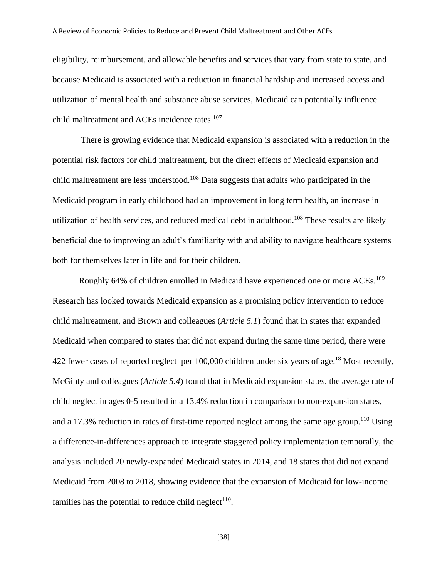eligibility, reimbursement, and allowable benefits and services that vary from state to state, and because Medicaid is associated with a reduction in financial hardship and increased access and utilization of mental health and substance abuse services, Medicaid can potentially influence child maltreatment and ACEs incidence rates. 107

There is growing evidence that Medicaid expansion is associated with a reduction in the potential risk factors for child maltreatment, but the direct effects of Medicaid expansion and child maltreatment are less understood.<sup>108</sup> Data suggests that adults who participated in the Medicaid program in early childhood had an improvement in long term health, an increase in utilization of health services, and reduced medical debt in adulthood.<sup>108</sup> These results are likely beneficial due to improving an adult's familiarity with and ability to navigate healthcare systems both for themselves later in life and for their children.

Roughly 64% of children enrolled in Medicaid have experienced one or more ACEs.<sup>109</sup> Research has looked towards Medicaid expansion as a promising policy intervention to reduce child maltreatment, and Brown and colleagues (*Article 5.1*) found that in states that expanded Medicaid when compared to states that did not expand during the same time period, there were 422 fewer cases of reported neglect per 100,000 children under six years of age.<sup>18</sup> Most recently, McGinty and colleagues (*Article 5.4*) found that in Medicaid expansion states, the average rate of child neglect in ages 0-5 resulted in a 13.4% reduction in comparison to non-expansion states, and a 17.3% reduction in rates of first-time reported neglect among the same age group.<sup>110</sup> Using a difference-in-differences approach to integrate staggered policy implementation temporally, the analysis included 20 newly-expanded Medicaid states in 2014, and 18 states that did not expand Medicaid from 2008 to 2018, showing evidence that the expansion of Medicaid for low-income families has the potential to reduce child neglect<sup>110</sup>.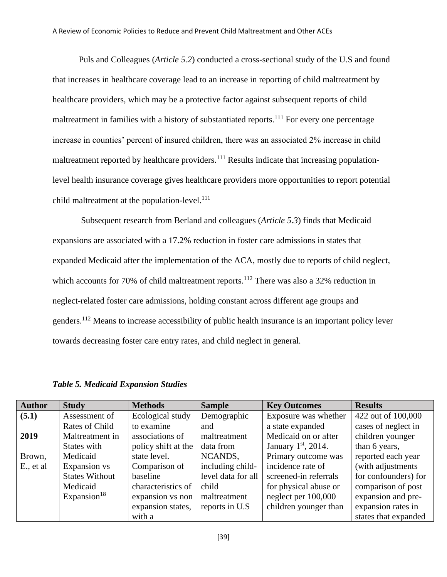Puls and Colleagues (*Article 5.2*) conducted a cross-sectional study of the U.S and found that increases in healthcare coverage lead to an increase in reporting of child maltreatment by healthcare providers, which may be a protective factor against subsequent reports of child maltreatment in families with a history of substantiated reports.<sup>111</sup> For every one percentage increase in counties' percent of insured children, there was an associated 2% increase in child maltreatment reported by healthcare providers.<sup>111</sup> Results indicate that increasing populationlevel health insurance coverage gives healthcare providers more opportunities to report potential child maltreatment at the population-level. $111$ 

Subsequent research from Berland and colleagues (*Article 5.3*) finds that Medicaid expansions are associated with a 17.2% reduction in foster care admissions in states that expanded Medicaid after the implementation of the ACA, mostly due to reports of child neglect, which accounts for 70% of child maltreatment reports.<sup>112</sup> There was also a 32% reduction in neglect-related foster care admissions, holding constant across different age groups and genders.<sup>112</sup> Means to increase accessibility of public health insurance is an important policy lever towards decreasing foster care entry rates, and child neglect in general.

| <b>Author</b> | <b>Study</b>          | <b>Methods</b>      | <b>Sample</b>      | <b>Key Outcomes</b>   | <b>Results</b>       |
|---------------|-----------------------|---------------------|--------------------|-----------------------|----------------------|
| (5.1)         | Assessment of         | Ecological study    | Demographic        | Exposure was whether  | 422 out of 100,000   |
|               | Rates of Child        | to examine          | and                | a state expanded      | cases of neglect in  |
| 2019          | Maltreatment in       | associations of     | maltreatment       | Medicaid on or after  | children younger     |
|               | States with           | policy shift at the | data from          | January $1st$ , 2014. | than 6 years,        |
| Brown,        | Medicaid              | state level.        | NCANDS,            | Primary outcome was   | reported each year   |
| E., et al     | Expansion vs          | Comparison of       | including child-   | incidence rate of     | (with adjustments)   |
|               | <b>States Without</b> | baseline            | level data for all | screened-in referrals | for confounders) for |
|               | Medicaid              | characteristics of  | child              | for physical abuse or | comparison of post   |
|               | Expansion $18$        | expansion vs non    | maltreatment       | neglect per 100,000   | expansion and pre-   |
|               |                       | expansion states,   | reports in U.S.    | children younger than | expansion rates in   |
|               |                       | with a              |                    |                       | states that expanded |

*Table 5. Medicaid Expansion Studies*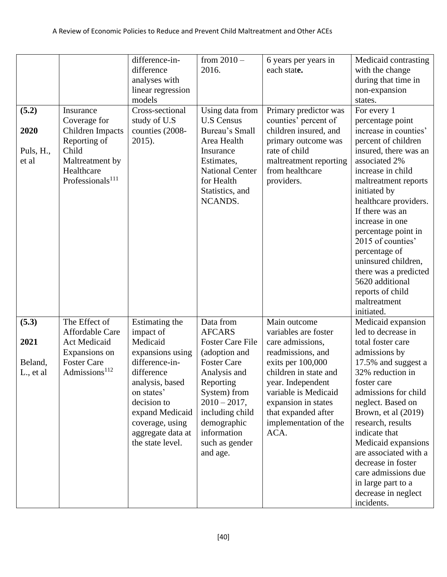|                                        |                                                                                                                                         | difference-in-<br>difference<br>analyses with<br>linear regression<br>models                                                                                                                                               | from $2010 -$<br>2016.                                                                                                                                                                                                                      | 6 years per years in<br>each state.                                                                                                                                                                                                                     | Medicaid contrasting<br>with the change<br>during that time in<br>non-expansion<br>states.                                                                                                                                                                                                                                                                                                                                              |
|----------------------------------------|-----------------------------------------------------------------------------------------------------------------------------------------|----------------------------------------------------------------------------------------------------------------------------------------------------------------------------------------------------------------------------|---------------------------------------------------------------------------------------------------------------------------------------------------------------------------------------------------------------------------------------------|---------------------------------------------------------------------------------------------------------------------------------------------------------------------------------------------------------------------------------------------------------|-----------------------------------------------------------------------------------------------------------------------------------------------------------------------------------------------------------------------------------------------------------------------------------------------------------------------------------------------------------------------------------------------------------------------------------------|
| (5.2)<br>2020<br>Puls, H.,<br>et al    | Insurance<br>Coverage for<br>Children Impacts<br>Reporting of<br>Child<br>Maltreatment by<br>Healthcare<br>Professionals <sup>111</sup> | Cross-sectional<br>study of U.S<br>counties (2008-<br>2015).                                                                                                                                                               | Using data from<br><b>U.S Census</b><br>Bureau's Small<br>Area Health<br>Insurance<br>Estimates,<br><b>National Center</b><br>for Health<br>Statistics, and<br>NCANDS.                                                                      | Primary predictor was<br>counties' percent of<br>children insured, and<br>primary outcome was<br>rate of child<br>maltreatment reporting<br>from healthcare<br>providers.                                                                               | For every 1<br>percentage point<br>increase in counties'<br>percent of children<br>insured, there was an<br>associated 2%<br>increase in child<br>maltreatment reports<br>initiated by<br>healthcare providers.<br>If there was an<br>increase in one<br>percentage point in<br>2015 of counties'<br>percentage of<br>uninsured children,<br>there was a predicted<br>5620 additional<br>reports of child<br>maltreatment<br>initiated. |
| (5.3)<br>2021<br>Beland,<br>L., et al. | The Effect of<br>Affordable Care<br>Act Medicaid<br>Expansions on<br><b>Foster Care</b><br>Admissions <sup>112</sup>                    | Estimating the<br>impact of<br>Medicaid<br>expansions using<br>difference-in-<br>difference<br>analysis, based<br>on states'<br>decision to<br>expand Medicaid<br>coverage, using<br>aggregate data at<br>the state level. | Data from<br><b>AFCARS</b><br><b>Foster Care File</b><br>(adoption and<br><b>Foster Care</b><br>Analysis and<br>Reporting<br>System) from<br>$2010 - 2017$ ,<br>including child<br>demographic<br>information<br>such as gender<br>and age. | Main outcome<br>variables are foster<br>care admissions,<br>readmissions, and<br>exits per 100,000<br>children in state and<br>year. Independent<br>variable is Medicaid<br>expansion in states<br>that expanded after<br>implementation of the<br>ACA. | Medicaid expansion<br>led to decrease in<br>total foster care<br>admissions by<br>17.5% and suggest a<br>32% reduction in<br>foster care<br>admissions for child<br>neglect. Based on<br>Brown, et al (2019)<br>research, results<br>indicate that<br>Medicaid expansions<br>are associated with a<br>decrease in foster<br>care admissions due<br>in large part to a<br>decrease in neglect<br>incidents.                              |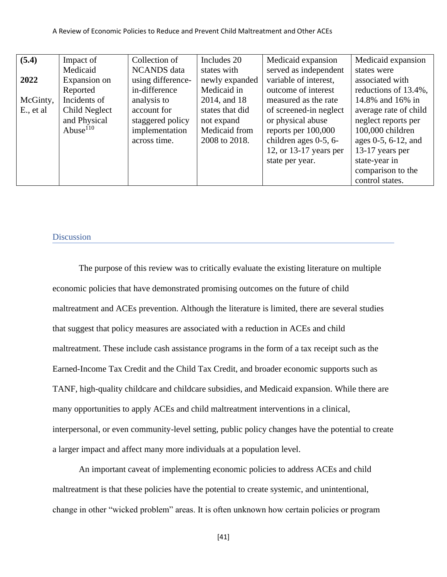| (5.4)     | Impact of     | Collection of      | Includes 20     | Medicaid expansion       | Medicaid expansion    |
|-----------|---------------|--------------------|-----------------|--------------------------|-----------------------|
|           | Medicaid      | <b>NCANDS</b> data | states with     | served as independent    | states were           |
| 2022      | Expansion on  | using difference-  | newly expanded  | variable of interest,    | associated with       |
|           | Reported      | in-difference      | Medicaid in     | outcome of interest      | reductions of 13.4%,  |
| McGinty,  | Incidents of  | analysis to        | 2014, and 18    | measured as the rate     | 14.8% and 16% in      |
| E., et al | Child Neglect | account for        | states that did | of screened-in neglect   | average rate of child |
|           | and Physical  | staggered policy   | not expand      | or physical abuse        | neglect reports per   |
|           | Abuse $110$   | implementation     | Medicaid from   | reports per $100,000$    | 100,000 children      |
|           |               | across time.       | 2008 to 2018.   | children ages 0-5, 6-    | ages 0-5, 6-12, and   |
|           |               |                    |                 | 12, or $13-17$ years per | 13-17 years per       |
|           |               |                    |                 | state per year.          | state-year in         |
|           |               |                    |                 |                          | comparison to the     |
|           |               |                    |                 |                          | control states.       |

#### <span id="page-41-0"></span>Discussion

The purpose of this review was to critically evaluate the existing literature on multiple economic policies that have demonstrated promising outcomes on the future of child maltreatment and ACEs prevention. Although the literature is limited, there are several studies that suggest that policy measures are associated with a reduction in ACEs and child maltreatment. These include cash assistance programs in the form of a tax receipt such as the Earned-Income Tax Credit and the Child Tax Credit, and broader economic supports such as TANF, high-quality childcare and childcare subsidies, and Medicaid expansion. While there are many opportunities to apply ACEs and child maltreatment interventions in a clinical, interpersonal, or even community-level setting, public policy changes have the potential to create a larger impact and affect many more individuals at a population level.

An important caveat of implementing economic policies to address ACEs and child maltreatment is that these policies have the potential to create systemic, and unintentional, change in other "wicked problem" areas. It is often unknown how certain policies or program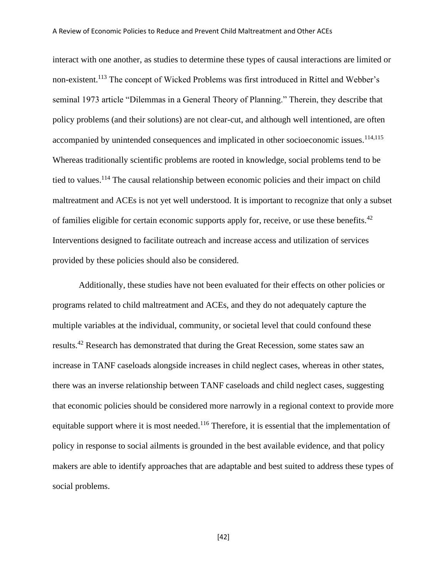interact with one another, as studies to determine these types of causal interactions are limited or non-existent.<sup>113</sup> The concept of Wicked Problems was first introduced in Rittel and Webber's seminal 1973 article "Dilemmas in a General Theory of Planning." Therein, they describe that policy problems (and their solutions) are not clear-cut, and although well intentioned, are often accompanied by unintended consequences and implicated in other socioeconomic issues.<sup>114,115</sup> Whereas traditionally scientific problems are rooted in knowledge, social problems tend to be tied to values.<sup>114</sup> The causal relationship between economic policies and their impact on child maltreatment and ACEs is not yet well understood. It is important to recognize that only a subset of families eligible for certain economic supports apply for, receive, or use these benefits.<sup>42</sup> Interventions designed to facilitate outreach and increase access and utilization of services provided by these policies should also be considered.

Additionally, these studies have not been evaluated for their effects on other policies or programs related to child maltreatment and ACEs, and they do not adequately capture the multiple variables at the individual, community, or societal level that could confound these results.<sup>42</sup> Research has demonstrated that during the Great Recession, some states saw an increase in TANF caseloads alongside increases in child neglect cases, whereas in other states, there was an inverse relationship between TANF caseloads and child neglect cases, suggesting that economic policies should be considered more narrowly in a regional context to provide more equitable support where it is most needed.<sup>116</sup> Therefore, it is essential that the implementation of policy in response to social ailments is grounded in the best available evidence, and that policy makers are able to identify approaches that are adaptable and best suited to address these types of social problems.

[42]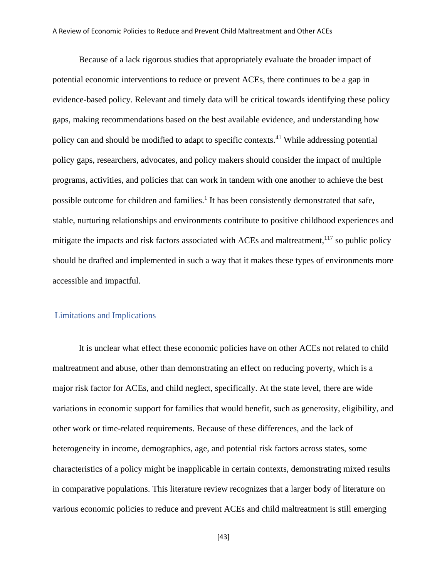Because of a lack rigorous studies that appropriately evaluate the broader impact of potential economic interventions to reduce or prevent ACEs, there continues to be a gap in evidence-based policy. Relevant and timely data will be critical towards identifying these policy gaps, making recommendations based on the best available evidence, and understanding how policy can and should be modified to adapt to specific contexts.<sup>41</sup> While addressing potential policy gaps, researchers, advocates, and policy makers should consider the impact of multiple programs, activities, and policies that can work in tandem with one another to achieve the best possible outcome for children and families.<sup>1</sup> It has been consistently demonstrated that safe, stable, nurturing relationships and environments contribute to positive childhood experiences and mitigate the impacts and risk factors associated with ACEs and maltreatment, $117$  so public policy should be drafted and implemented in such a way that it makes these types of environments more accessible and impactful.

#### <span id="page-43-0"></span>Limitations and Implications

It is unclear what effect these economic policies have on other ACEs not related to child maltreatment and abuse, other than demonstrating an effect on reducing poverty, which is a major risk factor for ACEs, and child neglect, specifically. At the state level, there are wide variations in economic support for families that would benefit, such as generosity, eligibility, and other work or time-related requirements. Because of these differences, and the lack of heterogeneity in income, demographics, age, and potential risk factors across states, some characteristics of a policy might be inapplicable in certain contexts, demonstrating mixed results in comparative populations. This literature review recognizes that a larger body of literature on various economic policies to reduce and prevent ACEs and child maltreatment is still emerging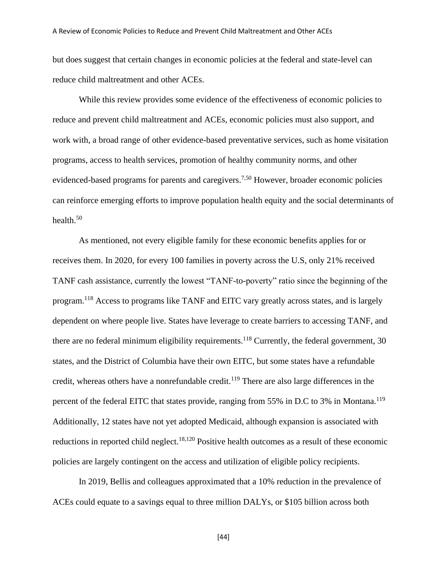but does suggest that certain changes in economic policies at the federal and state-level can reduce child maltreatment and other ACEs.

While this review provides some evidence of the effectiveness of economic policies to reduce and prevent child maltreatment and ACEs, economic policies must also support, and work with, a broad range of other evidence-based preventative services, such as home visitation programs, access to health services, promotion of healthy community norms, and other evidenced-based programs for parents and caregivers.<sup>7,50</sup> However, broader economic policies can reinforce emerging efforts to improve population health equity and the social determinants of health.<sup>50</sup>

As mentioned, not every eligible family for these economic benefits applies for or receives them. In 2020, for every 100 families in poverty across the U.S, only 21% received TANF cash assistance, currently the lowest "TANF-to-poverty" ratio since the beginning of the program.<sup>118</sup> Access to programs like TANF and EITC vary greatly across states, and is largely dependent on where people live. States have leverage to create barriers to accessing TANF, and there are no federal minimum eligibility requirements.<sup>118</sup> Currently, the federal government, 30 states, and the District of Columbia have their own EITC, but some states have a refundable credit, whereas others have a nonrefundable credit.<sup>119</sup> There are also large differences in the percent of the federal EITC that states provide, ranging from 55% in D.C to 3% in Montana.<sup>119</sup> Additionally, 12 states have not yet adopted Medicaid, although expansion is associated with reductions in reported child neglect.<sup>18,120</sup> Positive health outcomes as a result of these economic policies are largely contingent on the access and utilization of eligible policy recipients.

In 2019, Bellis and colleagues approximated that a 10% reduction in the prevalence of ACEs could equate to a savings equal to three million DALYs, or \$105 billion across both

[44]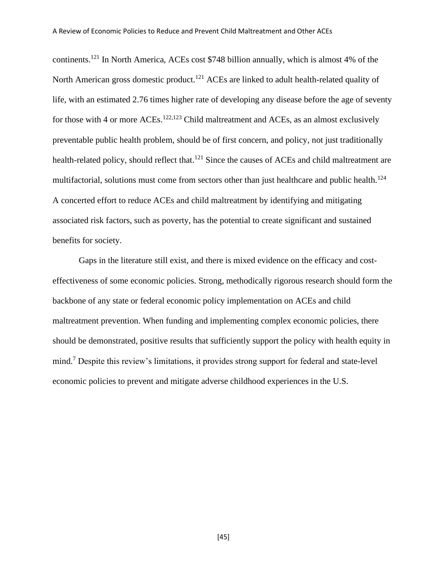continents.<sup>121</sup> In North America, ACEs cost \$748 billion annually, which is almost 4% of the North American gross domestic product.<sup>121</sup> ACEs are linked to adult health-related quality of life, with an estimated 2.76 times higher rate of developing any disease before the age of seventy for those with 4 or more ACEs.<sup>122,123</sup> Child maltreatment and ACEs, as an almost exclusively preventable public health problem, should be of first concern, and policy, not just traditionally health-related policy, should reflect that.<sup>121</sup> Since the causes of ACEs and child maltreatment are multifactorial, solutions must come from sectors other than just healthcare and public health.<sup>124</sup> A concerted effort to reduce ACEs and child maltreatment by identifying and mitigating associated risk factors, such as poverty, has the potential to create significant and sustained benefits for society.

Gaps in the literature still exist, and there is mixed evidence on the efficacy and costeffectiveness of some economic policies. Strong, methodically rigorous research should form the backbone of any state or federal economic policy implementation on ACEs and child maltreatment prevention. When funding and implementing complex economic policies, there should be demonstrated, positive results that sufficiently support the policy with health equity in mind. <sup>7</sup> Despite this review's limitations, it provides strong support for federal and state-level economic policies to prevent and mitigate adverse childhood experiences in the U.S.

[45]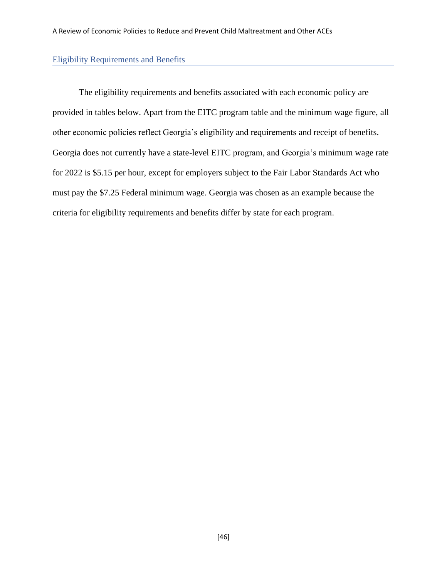#### <span id="page-46-0"></span>Eligibility Requirements and Benefits

The eligibility requirements and benefits associated with each economic policy are provided in tables below. Apart from the EITC program table and the minimum wage figure, all other economic policies reflect Georgia's eligibility and requirements and receipt of benefits. Georgia does not currently have a state-level EITC program, and Georgia's minimum wage rate for 2022 is \$5.15 per hour, except for employers subject to the Fair Labor Standards Act who must pay the \$7.25 Federal minimum wage. Georgia was chosen as an example because the criteria for eligibility requirements and benefits differ by state for each program.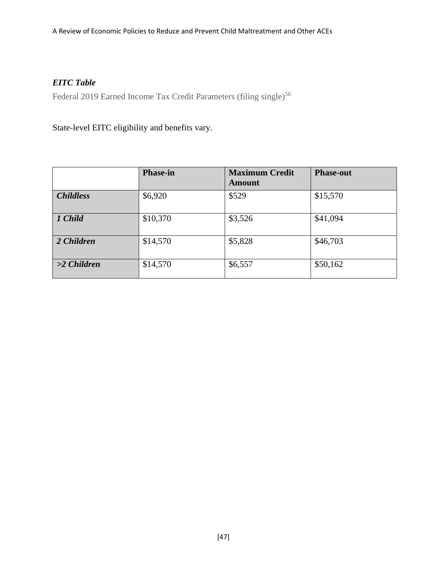# *EITC Table*

Federal 2019 Earned Income Tax Credit Parameters (filing single)<sup>56</sup>

State-level EITC eligibility and benefits vary.

|                  | <b>Phase-in</b> | <b>Maximum Credit</b><br><b>Amount</b> | <b>Phase-out</b> |
|------------------|-----------------|----------------------------------------|------------------|
| <b>Childless</b> | \$6,920         | \$529                                  | \$15,570         |
| 1 Child          | \$10,370        | \$3,526                                | \$41,094         |
| 2 Children       | \$14,570        | \$5,828                                | \$46,703         |
| $>2$ Children    | \$14,570        | \$6,557                                | \$50,162         |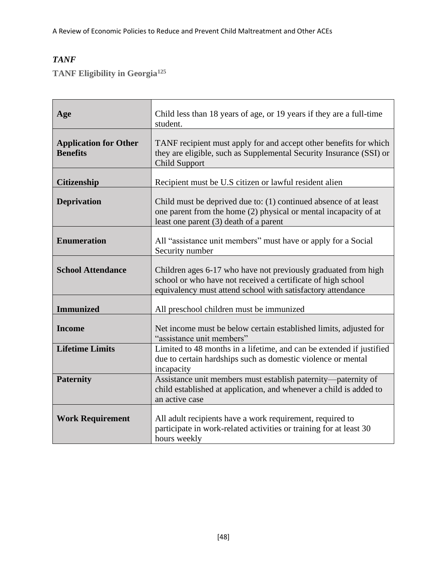# *TANF*

**TANF Eligibility in Georgia<sup>125</sup>**

| Age                                             | Child less than 18 years of age, or 19 years if they are a full-time<br>student.                                                                                                              |  |
|-------------------------------------------------|-----------------------------------------------------------------------------------------------------------------------------------------------------------------------------------------------|--|
| <b>Application for Other</b><br><b>Benefits</b> | TANF recipient must apply for and accept other benefits for which<br>they are eligible, such as Supplemental Security Insurance (SSI) or<br><b>Child Support</b>                              |  |
| <b>Citizenship</b>                              | Recipient must be U.S citizen or lawful resident alien                                                                                                                                        |  |
| <b>Deprivation</b>                              | Child must be deprived due to: (1) continued absence of at least<br>one parent from the home (2) physical or mental incapacity of at<br>least one parent (3) death of a parent                |  |
| <b>Enumeration</b>                              | All "assistance unit members" must have or apply for a Social<br>Security number                                                                                                              |  |
| <b>School Attendance</b>                        | Children ages 6-17 who have not previously graduated from high<br>school or who have not received a certificate of high school<br>equivalency must attend school with satisfactory attendance |  |
| <b>Immunized</b>                                | All preschool children must be immunized                                                                                                                                                      |  |
| <b>Income</b>                                   | Net income must be below certain established limits, adjusted for<br>"assistance unit members"                                                                                                |  |
| <b>Lifetime Limits</b>                          | Limited to 48 months in a lifetime, and can be extended if justified<br>due to certain hardships such as domestic violence or mental<br>incapacity                                            |  |
| <b>Paternity</b>                                | Assistance unit members must establish paternity—paternity of<br>child established at application, and whenever a child is added to<br>an active case                                         |  |
| <b>Work Requirement</b>                         | All adult recipients have a work requirement, required to<br>participate in work-related activities or training for at least 30<br>hours weekly                                               |  |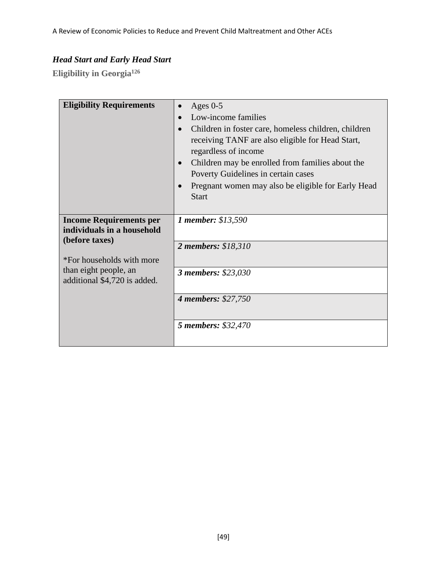# *Head Start and Early Head Start*

**Eligibility in Georgia<sup>126</sup>**

| <b>Eligibility Requirements</b>                                                    | Ages $0-5$<br>Low-income families<br>Children in foster care, homeless children, children<br>receiving TANF are also eligible for Head Start,<br>regardless of income<br>Children may be enrolled from families about the<br>Poverty Guidelines in certain cases<br>Pregnant women may also be eligible for Early Head<br><b>Start</b> |
|------------------------------------------------------------------------------------|----------------------------------------------------------------------------------------------------------------------------------------------------------------------------------------------------------------------------------------------------------------------------------------------------------------------------------------|
| <b>Income Requirements per</b><br>individuals in a household<br>(before taxes)     | 1 member: \$13,590<br>2 members: \$18,310                                                                                                                                                                                                                                                                                              |
| *For households with more<br>than eight people, an<br>additional \$4,720 is added. | <b>3 members: \$23,030</b>                                                                                                                                                                                                                                                                                                             |
|                                                                                    | <b>4 members: \$27,750</b>                                                                                                                                                                                                                                                                                                             |
|                                                                                    | 5 members: \$32,470                                                                                                                                                                                                                                                                                                                    |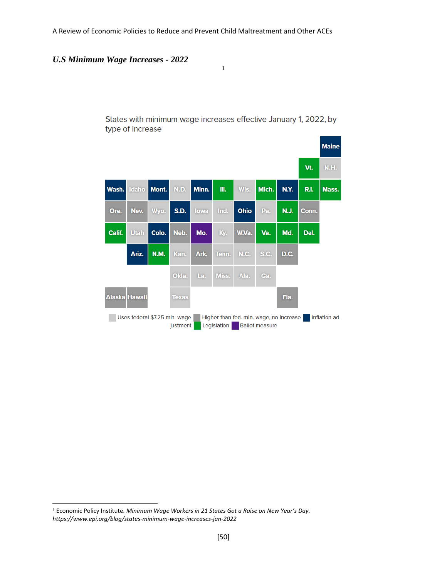*U.S Minimum Wage Increases - 2022*

**Maine** N.H. Vt. Wash. Mont. Minn. III. Wis. Mich. N.Y. R.I. Mass. daho N.D. Ore. Nev. Wyo. **S.D.** lowa Ind. Ohio Pa. **N.J.** Conn. Calif. **Utah** Colo. Neb. Mo. W.Va. Va. Md. Del. Ky. Ariz. N.M. Kan. Ark. N.C. S.C. D.C. Tenn. Okla. La. Miss. Ala. Ga. Alaska Hawaii **Texas** Fla. Uses federal \$7.25 min. wage Higher than fed. min. wage, no increase Inflation adjustment Legislation Ballot measure

States with minimum wage increases effective January 1, 2022, by type of increase

1

<sup>1</sup> Economic Policy Institute. *Minimum Wage Workers in 21 States Got a Raise on New Year's Day. https://www.epi.org/blog/states-minimum-wage-increases-jan-2022*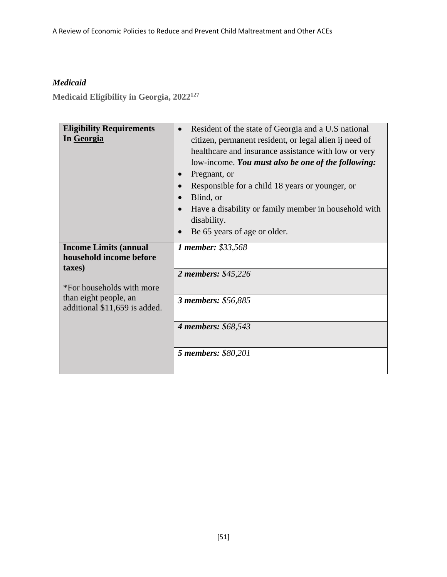# *Medicaid*

**Medicaid Eligibility in Georgia, 2022<sup>127</sup>**

| Resident of the state of Georgia and a U.S national<br>$\bullet$<br>citizen, permanent resident, or legal alien ij need of<br>healthcare and insurance assistance with low or very<br>low-income. You must also be one of the following:<br>Pregnant, or<br>Responsible for a child 18 years or younger, or<br>Blind, or<br>$\bullet$<br>Have a disability or family member in household with<br>disability.<br>Be 65 years of age or older. |
|----------------------------------------------------------------------------------------------------------------------------------------------------------------------------------------------------------------------------------------------------------------------------------------------------------------------------------------------------------------------------------------------------------------------------------------------|
| 1 member: \$33,568<br>2 members: \$45,226<br>3 members: \$56,885                                                                                                                                                                                                                                                                                                                                                                             |
| 4 members: \$68,543<br>5 members: \$80,201                                                                                                                                                                                                                                                                                                                                                                                                   |
|                                                                                                                                                                                                                                                                                                                                                                                                                                              |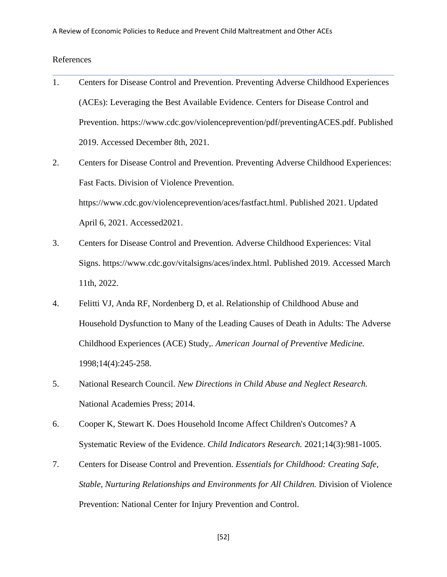#### <span id="page-52-0"></span>References

- 1. Centers for Disease Control and Prevention. Preventing Adverse Childhood Experiences (ACEs): Leveraging the Best Available Evidence. Centers for Disease Control and Prevention. [https://www.cdc.gov/violenceprevention/pdf/preventingACES.pdf.](https://www.cdc.gov/violenceprevention/pdf/preventingACES.pdf) Published 2019. Accessed December 8th, 2021.
- 2. Centers for Disease Control and Prevention. Preventing Adverse Childhood Experiences: Fast Facts. Division of Violence Prevention. [https://www.cdc.gov/violenceprevention/aces/fastfact.html.](https://www.cdc.gov/violenceprevention/aces/fastfact.html) Published 2021. Updated April 6, 2021. Accessed2021.
- 3. Centers for Disease Control and Prevention. Adverse Childhood Experiences: Vital Signs. [https://www.cdc.gov/vitalsigns/aces/index.html.](https://www.cdc.gov/vitalsigns/aces/index.html) Published 2019. Accessed March 11th, 2022.
- 4. Felitti VJ, Anda RF, Nordenberg D, et al. Relationship of Childhood Abuse and Household Dysfunction to Many of the Leading Causes of Death in Adults: The Adverse Childhood Experiences (ACE) Study,. *American Journal of Preventive Medicine.*  1998;14(4):245-258.
- 5. National Research Council. *New Directions in Child Abuse and Neglect Research.* National Academies Press; 2014.
- 6. Cooper K, Stewart K. Does Household Income Affect Children's Outcomes? A Systematic Review of the Evidence. *Child Indicators Research.* 2021;14(3):981-1005.
- 7. Centers for Disease Control and Prevention. *Essentials for Childhood: Creating Safe, Stable, Nurturing Relationships and Environments for All Children.* Division of Violence Prevention: National Center for Injury Prevention and Control.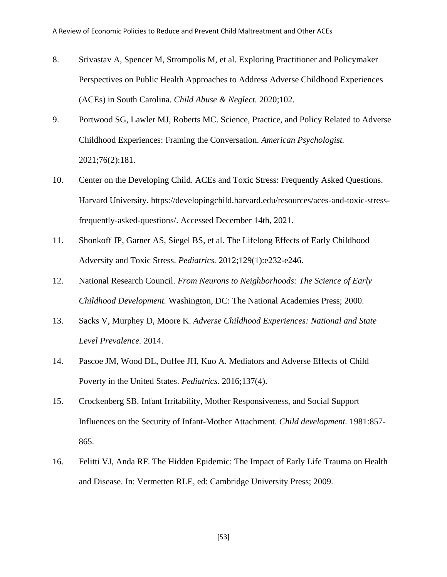- 8. Srivastav A, Spencer M, Strompolis M, et al. Exploring Practitioner and Policymaker Perspectives on Public Health Approaches to Address Adverse Childhood Experiences (ACEs) in South Carolina. *Child Abuse & Neglect.* 2020;102.
- 9. Portwood SG, Lawler MJ, Roberts MC. Science, Practice, and Policy Related to Adverse Childhood Experiences: Framing the Conversation. *American Psychologist.*  2021;76(2):181.
- 10. Center on the Developing Child. ACEs and Toxic Stress: Frequently Asked Questions. Harvard University. [https://developingchild.harvard.edu/resources/aces-and-toxic-stress](https://developingchild.harvard.edu/resources/aces-and-toxic-stress-frequently-asked-questions/)[frequently-asked-questions/.](https://developingchild.harvard.edu/resources/aces-and-toxic-stress-frequently-asked-questions/) Accessed December 14th, 2021.
- 11. Shonkoff JP, Garner AS, Siegel BS, et al. The Lifelong Effects of Early Childhood Adversity and Toxic Stress. *Pediatrics.* 2012;129(1):e232-e246.
- 12. National Research Council. *From Neurons to Neighborhoods: The Science of Early Childhood Development.* Washington, DC: The National Academies Press; 2000.
- 13. Sacks V, Murphey D, Moore K. *Adverse Childhood Experiences: National and State Level Prevalence.* 2014.
- 14. Pascoe JM, Wood DL, Duffee JH, Kuo A. Mediators and Adverse Effects of Child Poverty in the United States. *Pediatrics.* 2016;137(4).
- 15. Crockenberg SB. Infant Irritability, Mother Responsiveness, and Social Support Influences on the Security of Infant-Mother Attachment. *Child development.* 1981:857- 865.
- 16. Felitti VJ, Anda RF. The Hidden Epidemic: The Impact of Early Life Trauma on Health and Disease. In: Vermetten RLE, ed: Cambridge University Press; 2009.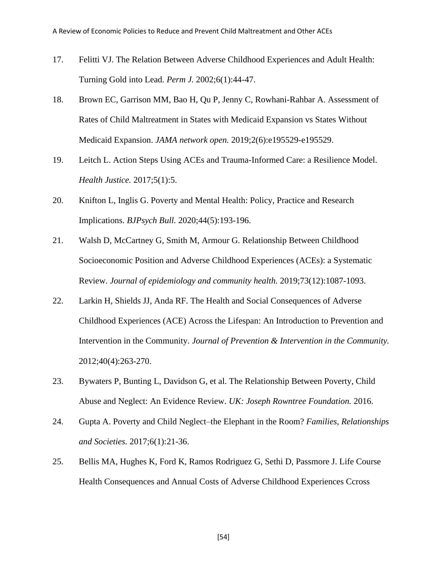- 17. Felitti VJ. The Relation Between Adverse Childhood Experiences and Adult Health: Turning Gold into Lead. *Perm J.* 2002;6(1):44-47.
- 18. Brown EC, Garrison MM, Bao H, Qu P, Jenny C, Rowhani-Rahbar A. Assessment of Rates of Child Maltreatment in States with Medicaid Expansion vs States Without Medicaid Expansion. *JAMA network open.* 2019;2(6):e195529-e195529.
- 19. Leitch L. Action Steps Using ACEs and Trauma-Informed Care: a Resilience Model. *Health Justice.* 2017;5(1):5.
- 20. Knifton L, Inglis G. Poverty and Mental Health: Policy, Practice and Research Implications. *BJPsych Bull.* 2020;44(5):193-196.
- 21. Walsh D, McCartney G, Smith M, Armour G. Relationship Between Childhood Socioeconomic Position and Adverse Childhood Experiences (ACEs): a Systematic Review. *Journal of epidemiology and community health.* 2019;73(12):1087-1093.
- 22. Larkin H, Shields JJ, Anda RF. The Health and Social Consequences of Adverse Childhood Experiences (ACE) Across the Lifespan: An Introduction to Prevention and Intervention in the Community. *Journal of Prevention & Intervention in the Community.*  2012;40(4):263-270.
- 23. Bywaters P, Bunting L, Davidson G, et al. The Relationship Between Poverty, Child Abuse and Neglect: An Evidence Review. *UK: Joseph Rowntree Foundation.* 2016.
- 24. Gupta A. Poverty and Child Neglect–the Elephant in the Room? *Families, Relationships and Societies.* 2017;6(1):21-36.
- 25. Bellis MA, Hughes K, Ford K, Ramos Rodriguez G, Sethi D, Passmore J. Life Course Health Consequences and Annual Costs of Adverse Childhood Experiences Ccross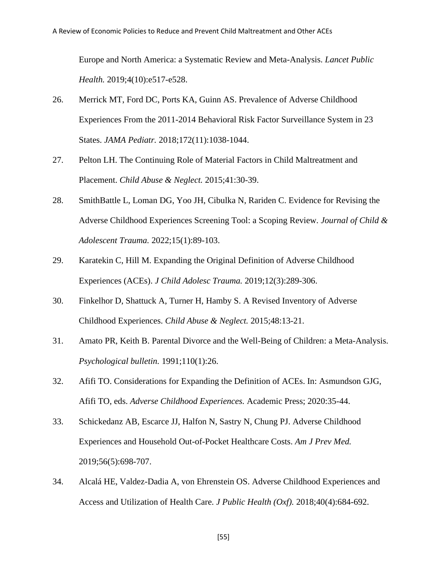Europe and North America: a Systematic Review and Meta-Analysis. *Lancet Public Health.* 2019;4(10):e517-e528.

- 26. Merrick MT, Ford DC, Ports KA, Guinn AS. Prevalence of Adverse Childhood Experiences From the 2011-2014 Behavioral Risk Factor Surveillance System in 23 States. *JAMA Pediatr.* 2018;172(11):1038-1044.
- 27. Pelton LH. The Continuing Role of Material Factors in Child Maltreatment and Placement. *Child Abuse & Neglect.* 2015;41:30-39.
- 28. SmithBattle L, Loman DG, Yoo JH, Cibulka N, Rariden C. Evidence for Revising the Adverse Childhood Experiences Screening Tool: a Scoping Review. *Journal of Child & Adolescent Trauma.* 2022;15(1):89-103.
- 29. Karatekin C, Hill M. Expanding the Original Definition of Adverse Childhood Experiences (ACEs). *J Child Adolesc Trauma.* 2019;12(3):289-306.
- 30. Finkelhor D, Shattuck A, Turner H, Hamby S. A Revised Inventory of Adverse Childhood Experiences. *Child Abuse & Neglect.* 2015;48:13-21.
- 31. Amato PR, Keith B. Parental Divorce and the Well-Being of Children: a Meta-Analysis. *Psychological bulletin.* 1991;110(1):26.
- 32. Afifi TO. Considerations for Expanding the Definition of ACEs. In: Asmundson GJG, Afifi TO, eds. *Adverse Childhood Experiences.* Academic Press; 2020:35-44.
- 33. Schickedanz AB, Escarce JJ, Halfon N, Sastry N, Chung PJ. Adverse Childhood Experiences and Household Out-of-Pocket Healthcare Costs. *Am J Prev Med.*  2019;56(5):698-707.
- 34. Alcalá HE, Valdez-Dadia A, von Ehrenstein OS. Adverse Childhood Experiences and Access and Utilization of Health Care. *J Public Health (Oxf).* 2018;40(4):684-692.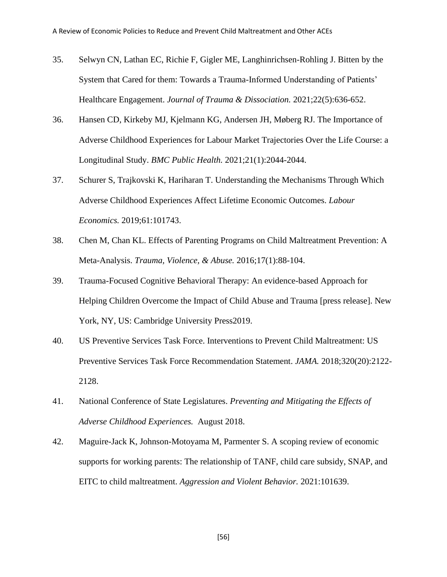- 35. Selwyn CN, Lathan EC, Richie F, Gigler ME, Langhinrichsen-Rohling J. Bitten by the System that Cared for them: Towards a Trauma-Informed Understanding of Patients' Healthcare Engagement. *Journal of Trauma & Dissociation.* 2021;22(5):636-652.
- 36. Hansen CD, Kirkeby MJ, Kjelmann KG, Andersen JH, Møberg RJ. The Importance of Adverse Childhood Experiences for Labour Market Trajectories Over the Life Course: a Longitudinal Study. *BMC Public Health.* 2021;21(1):2044-2044.
- 37. Schurer S, Trajkovski K, Hariharan T. Understanding the Mechanisms Through Which Adverse Childhood Experiences Affect Lifetime Economic Outcomes. *Labour Economics.* 2019;61:101743.
- 38. Chen M, Chan KL. Effects of Parenting Programs on Child Maltreatment Prevention: A Meta-Analysis. *Trauma, Violence, & Abuse.* 2016;17(1):88-104.
- 39. Trauma-Focused Cognitive Behavioral Therapy: An evidence-based Approach for Helping Children Overcome the Impact of Child Abuse and Trauma [press release]. New York, NY, US: Cambridge University Press2019.
- 40. US Preventive Services Task Force. Interventions to Prevent Child Maltreatment: US Preventive Services Task Force Recommendation Statement. *JAMA.* 2018;320(20):2122- 2128.
- 41. National Conference of State Legislatures. *Preventing and Mitigating the Effects of Adverse Childhood Experiences.* August 2018.
- 42. Maguire-Jack K, Johnson-Motoyama M, Parmenter S. A scoping review of economic supports for working parents: The relationship of TANF, child care subsidy, SNAP, and EITC to child maltreatment. *Aggression and Violent Behavior.* 2021:101639.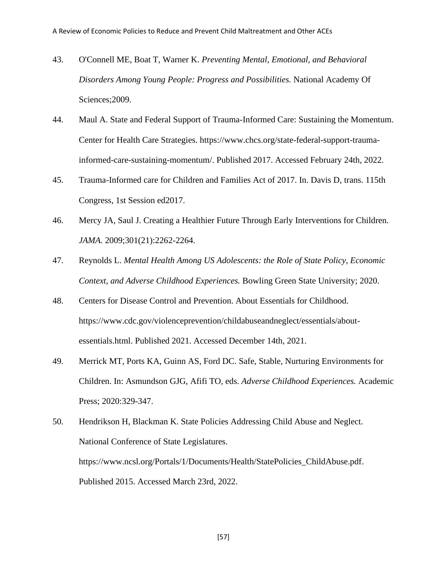- 43. O'Connell ME, Boat T, Warner K. *Preventing Mental, Emotional, and Behavioral Disorders Among Young People: Progress and Possibilities.* National Academy Of Sciences;2009.
- 44. Maul A. State and Federal Support of Trauma-Informed Care: Sustaining the Momentum. Center for Health Care Strategies. [https://www.chcs.org/state-federal-support-trauma](https://www.chcs.org/state-federal-support-trauma-informed-care-sustaining-momentum/)[informed-care-sustaining-momentum/.](https://www.chcs.org/state-federal-support-trauma-informed-care-sustaining-momentum/) Published 2017. Accessed February 24th, 2022.
- 45. Trauma-Informed care for Children and Families Act of 2017. In. Davis D, trans. 115th Congress, 1st Session ed2017.
- 46. Mercy JA, Saul J. Creating a Healthier Future Through Early Interventions for Children. *JAMA.* 2009;301(21):2262-2264.
- 47. Reynolds L. *Mental Health Among US Adolescents: the Role of State Policy, Economic Context, and Adverse Childhood Experiences.* Bowling Green State University; 2020.
- 48. Centers for Disease Control and Prevention. About Essentials for Childhood. [https://www.cdc.gov/violenceprevention/childabuseandneglect/essentials/about](https://www.cdc.gov/violenceprevention/childabuseandneglect/essentials/about-essentials.html)[essentials.html.](https://www.cdc.gov/violenceprevention/childabuseandneglect/essentials/about-essentials.html) Published 2021. Accessed December 14th, 2021.
- 49. Merrick MT, Ports KA, Guinn AS, Ford DC. Safe, Stable, Nurturing Environments for Children. In: Asmundson GJG, Afifi TO, eds. *Adverse Childhood Experiences.* Academic Press; 2020:329-347.

<sup>50.</sup> Hendrikson H, Blackman K. State Policies Addressing Child Abuse and Neglect. National Conference of State Legislatures. [https://www.ncsl.org/Portals/1/Documents/Health/StatePolicies\\_ChildAbuse.pdf.](https://www.ncsl.org/Portals/1/Documents/Health/StatePolicies_ChildAbuse.pdf) Published 2015. Accessed March 23rd, 2022.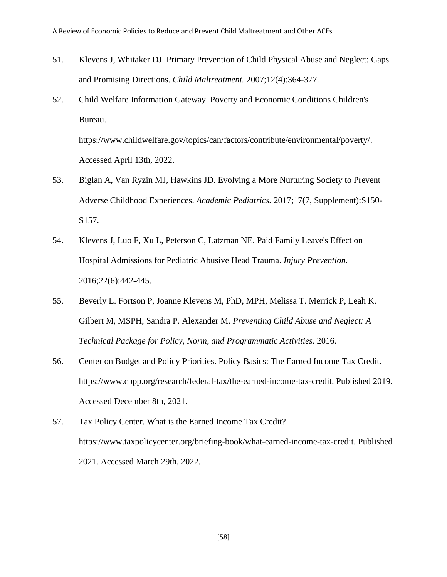- 51. Klevens J, Whitaker DJ. Primary Prevention of Child Physical Abuse and Neglect: Gaps and Promising Directions. *Child Maltreatment.* 2007;12(4):364-377.
- 52. Child Welfare Information Gateway. Poverty and Economic Conditions Children's Bureau.

[https://www.childwelfare.gov/topics/can/factors/contribute/environmental/poverty/.](https://www.childwelfare.gov/topics/can/factors/contribute/environmental/poverty/) Accessed April 13th, 2022.

- 53. Biglan A, Van Ryzin MJ, Hawkins JD. Evolving a More Nurturing Society to Prevent Adverse Childhood Experiences. *Academic Pediatrics.* 2017;17(7, Supplement):S150- S157.
- 54. Klevens J, Luo F, Xu L, Peterson C, Latzman NE. Paid Family Leave's Effect on Hospital Admissions for Pediatric Abusive Head Trauma. *Injury Prevention.*  2016;22(6):442-445.
- 55. Beverly L. Fortson P, Joanne Klevens M, PhD, MPH, Melissa T. Merrick P, Leah K. Gilbert M, MSPH, Sandra P. Alexander M. *Preventing Child Abuse and Neglect: A Technical Package for Policy, Norm, and Programmatic Activities.* 2016.
- 56. Center on Budget and Policy Priorities. Policy Basics: The Earned Income Tax Credit. [https://www.cbpp.org/research/federal-tax/the-earned-income-tax-credit.](https://www.cbpp.org/research/federal-tax/the-earned-income-tax-credit) Published 2019. Accessed December 8th, 2021.
- 57. Tax Policy Center. What is the Earned Income Tax Credit? [https://www.taxpolicycenter.org/briefing-book/what-earned-income-tax-credit.](https://www.taxpolicycenter.org/briefing-book/what-earned-income-tax-credit) Published 2021. Accessed March 29th, 2022.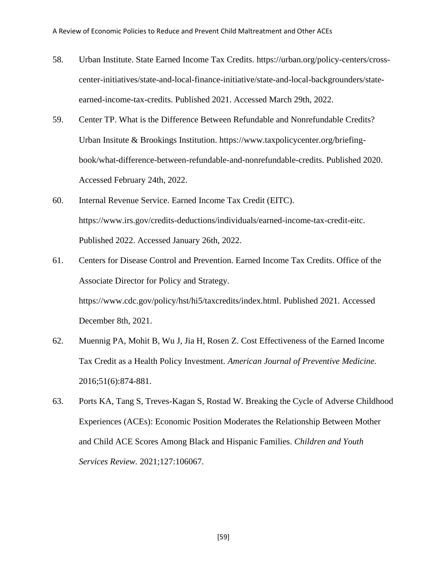- 58. Urban Institute. State Earned Income Tax Credits. [https://urban.org/policy-centers/cross](https://urban.org/policy-centers/cross-center-initiatives/state-and-local-finance-initiative/state-and-local-backgrounders/state-earned-income-tax-credits)[center-initiatives/state-and-local-finance-initiative/state-and-local-backgrounders/state](https://urban.org/policy-centers/cross-center-initiatives/state-and-local-finance-initiative/state-and-local-backgrounders/state-earned-income-tax-credits)[earned-income-tax-credits.](https://urban.org/policy-centers/cross-center-initiatives/state-and-local-finance-initiative/state-and-local-backgrounders/state-earned-income-tax-credits) Published 2021. Accessed March 29th, 2022.
- 59. Center TP. What is the Difference Between Refundable and Nonrefundable Credits? Urban Insitute & Brookings Institution. [https://www.taxpolicycenter.org/briefing](https://www.taxpolicycenter.org/briefing-book/what-difference-between-refundable-and-nonrefundable-credits)[book/what-difference-between-refundable-and-nonrefundable-credits.](https://www.taxpolicycenter.org/briefing-book/what-difference-between-refundable-and-nonrefundable-credits) Published 2020. Accessed February 24th, 2022.
- 60. Internal Revenue Service. Earned Income Tax Credit (EITC). [https://www.irs.gov/credits-deductions/individuals/earned-income-tax-credit-eitc.](https://www.irs.gov/credits-deductions/individuals/earned-income-tax-credit-eitc) Published 2022. Accessed January 26th, 2022.
- 61. Centers for Disease Control and Prevention. Earned Income Tax Credits. Office of the Associate Director for Policy and Strategy. [https://www.cdc.gov/policy/hst/hi5/taxcredits/index.html.](https://www.cdc.gov/policy/hst/hi5/taxcredits/index.html) Published 2021. Accessed December 8th, 2021.
- 62. Muennig PA, Mohit B, Wu J, Jia H, Rosen Z. Cost Effectiveness of the Earned Income Tax Credit as a Health Policy Investment. *American Journal of Preventive Medicine.*  2016;51(6):874-881.
- 63. Ports KA, Tang S, Treves-Kagan S, Rostad W. Breaking the Cycle of Adverse Childhood Experiences (ACEs): Economic Position Moderates the Relationship Between Mother and Child ACE Scores Among Black and Hispanic Families. *Children and Youth Services Review.* 2021;127:106067.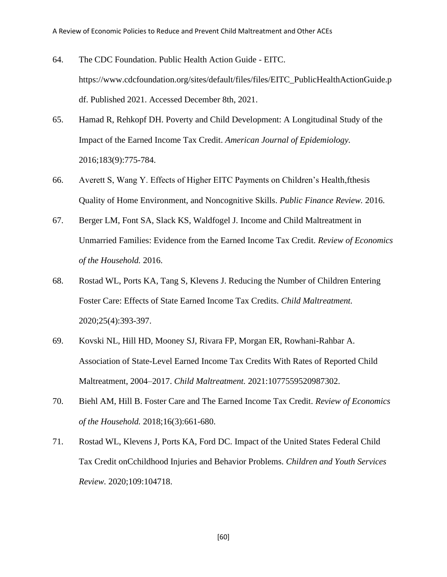- 64. The CDC Foundation. Public Health Action Guide EITC. [https://www.cdcfoundation.org/sites/default/files/files/EITC\\_PublicHealthActionGuide.p](https://www.cdcfoundation.org/sites/default/files/files/EITC_PublicHealthActionGuide.pdf) [df.](https://www.cdcfoundation.org/sites/default/files/files/EITC_PublicHealthActionGuide.pdf) Published 2021. Accessed December 8th, 2021.
- 65. Hamad R, Rehkopf DH. Poverty and Child Development: A Longitudinal Study of the Impact of the Earned Income Tax Credit. *American Journal of Epidemiology.*  2016;183(9):775-784.
- 66. Averett S, Wang Y. Effects of Higher EITC Payments on Children's Health,fthesis Quality of Home Environment, and Noncognitive Skills. *Public Finance Review.* 2016.
- 67. Berger LM, Font SA, Slack KS, Waldfogel J. Income and Child Maltreatment in Unmarried Families: Evidence from the Earned Income Tax Credit. *Review of Economics of the Household.* 2016.
- 68. Rostad WL, Ports KA, Tang S, Klevens J. Reducing the Number of Children Entering Foster Care: Effects of State Earned Income Tax Credits. *Child Maltreatment.*  2020;25(4):393-397.
- 69. Kovski NL, Hill HD, Mooney SJ, Rivara FP, Morgan ER, Rowhani-Rahbar A. Association of State-Level Earned Income Tax Credits With Rates of Reported Child Maltreatment, 2004–2017. *Child Maltreatment.* 2021:1077559520987302.
- 70. Biehl AM, Hill B. Foster Care and The Earned Income Tax Credit. *Review of Economics of the Household.* 2018;16(3):661-680.
- 71. Rostad WL, Klevens J, Ports KA, Ford DC. Impact of the United States Federal Child Tax Credit onCchildhood Injuries and Behavior Problems. *Children and Youth Services Review.* 2020;109:104718.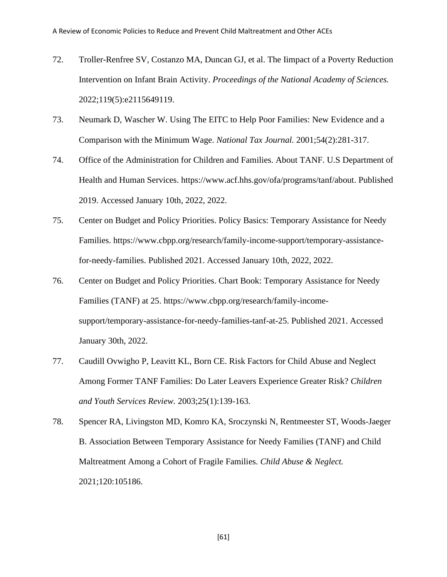- 72. Troller-Renfree SV, Costanzo MA, Duncan GJ, et al. The Iimpact of a Poverty Reduction Intervention on Infant Brain Activity. *Proceedings of the National Academy of Sciences.*  2022;119(5):e2115649119.
- 73. Neumark D, Wascher W. Using The EITC to Help Poor Families: New Evidence and a Comparison with the Minimum Wage. *National Tax Journal.* 2001;54(2):281-317.
- 74. Office of the Administration for Children and Families. About TANF. U.S Department of Health and Human Services. [https://www.acf.hhs.gov/ofa/programs/tanf/about.](https://www.acf.hhs.gov/ofa/programs/tanf/about) Published 2019. Accessed January 10th, 2022, 2022.
- 75. Center on Budget and Policy Priorities. Policy Basics: Temporary Assistance for Needy Families. [https://www.cbpp.org/research/family-income-support/temporary-assistance](https://www.cbpp.org/research/family-income-support/temporary-assistance-for-needy-families)[for-needy-families.](https://www.cbpp.org/research/family-income-support/temporary-assistance-for-needy-families) Published 2021. Accessed January 10th, 2022, 2022.
- 76. Center on Budget and Policy Priorities. Chart Book: Temporary Assistance for Needy Families (TANF) at 25. [https://www.cbpp.org/research/family-income](https://www.cbpp.org/research/family-income-support/temporary-assistance-for-needy-families-tanf-at-25)[support/temporary-assistance-for-needy-families-tanf-at-25.](https://www.cbpp.org/research/family-income-support/temporary-assistance-for-needy-families-tanf-at-25) Published 2021. Accessed January 30th, 2022.
- 77. Caudill Ovwigho P, Leavitt KL, Born CE. Risk Factors for Child Abuse and Neglect Among Former TANF Families: Do Later Leavers Experience Greater Risk? *Children and Youth Services Review.* 2003;25(1):139-163.
- 78. Spencer RA, Livingston MD, Komro KA, Sroczynski N, Rentmeester ST, Woods-Jaeger B. Association Between Temporary Assistance for Needy Families (TANF) and Child Maltreatment Among a Cohort of Fragile Families. *Child Abuse & Neglect.*  2021;120:105186.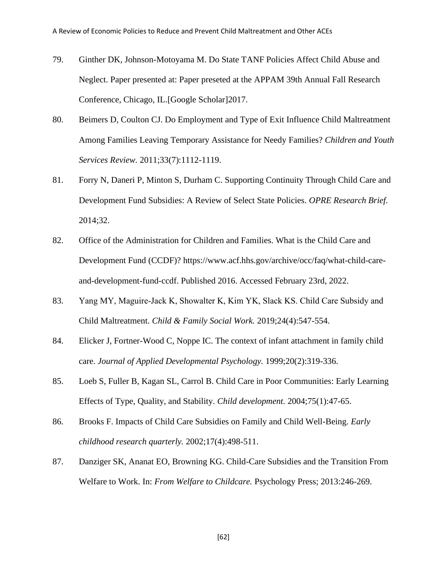- 79. Ginther DK, Johnson-Motoyama M. Do State TANF Policies Affect Child Abuse and Neglect. Paper presented at: Paper preseted at the APPAM 39th Annual Fall Research Conference, Chicago, IL.[Google Scholar]2017.
- 80. Beimers D, Coulton CJ. Do Employment and Type of Exit Influence Child Maltreatment Among Families Leaving Temporary Assistance for Needy Families? *Children and Youth Services Review.* 2011;33(7):1112-1119.
- 81. Forry N, Daneri P, Minton S, Durham C. Supporting Continuity Through Child Care and Development Fund Subsidies: A Review of Select State Policies. *OPRE Research Brief.*  2014;32.
- 82. Office of the Administration for Children and Families. What is the Child Care and Development Fund (CCDF)? [https://www.acf.hhs.gov/archive/occ/faq/what-child-care](https://www.acf.hhs.gov/archive/occ/faq/what-child-care-and-development-fund-ccdf)[and-development-fund-ccdf.](https://www.acf.hhs.gov/archive/occ/faq/what-child-care-and-development-fund-ccdf) Published 2016. Accessed February 23rd, 2022.
- 83. Yang MY, Maguire-Jack K, Showalter K, Kim YK, Slack KS. Child Care Subsidy and Child Maltreatment. *Child & Family Social Work.* 2019;24(4):547-554.
- 84. Elicker J, Fortner-Wood C, Noppe IC. The context of infant attachment in family child care. *Journal of Applied Developmental Psychology.* 1999;20(2):319-336.
- 85. Loeb S, Fuller B, Kagan SL, Carrol B. Child Care in Poor Communities: Early Learning Effects of Type, Quality, and Stability. *Child development.* 2004;75(1):47-65.
- 86. Brooks F. Impacts of Child Care Subsidies on Family and Child Well-Being. *Early childhood research quarterly.* 2002;17(4):498-511.
- 87. Danziger SK, Ananat EO, Browning KG. Child-Care Subsidies and the Transition From Welfare to Work. In: *From Welfare to Childcare.* Psychology Press; 2013:246-269.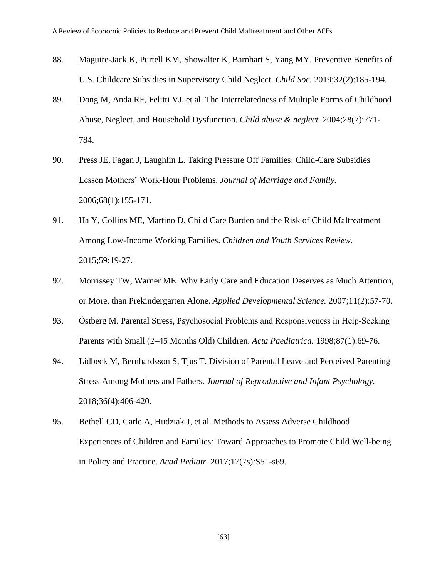- 88. Maguire-Jack K, Purtell KM, Showalter K, Barnhart S, Yang MY. Preventive Benefits of U.S. Childcare Subsidies in Supervisory Child Neglect. *Child Soc.* 2019;32(2):185-194.
- 89. Dong M, Anda RF, Felitti VJ, et al. The Interrelatedness of Multiple Forms of Childhood Abuse, Neglect, and Household Dysfunction. *Child abuse & neglect.* 2004;28(7):771- 784.
- 90. Press JE, Fagan J, Laughlin L. Taking Pressure Off Families: Child-Care Subsidies Lessen Mothers' Work-Hour Problems. *Journal of Marriage and Family.*  2006;68(1):155-171.
- 91. Ha Y, Collins ME, Martino D. Child Care Burden and the Risk of Child Maltreatment Among Low-Income Working Families. *Children and Youth Services Review.*  2015;59:19-27.
- 92. Morrissey TW, Warner ME. Why Early Care and Education Deserves as Much Attention, or More, than Prekindergarten Alone. *Applied Developmental Science.* 2007;11(2):57-70.
- 93. Östberg M. Parental Stress, Psychosocial Problems and Responsiveness in Help-Seeking Parents with Small (2–45 Months Old) Children. *Acta Paediatrica.* 1998;87(1):69-76.
- 94. Lidbeck M, Bernhardsson S, Tjus T. Division of Parental Leave and Perceived Parenting Stress Among Mothers and Fathers. *Journal of Reproductive and Infant Psychology.*  2018;36(4):406-420.
- 95. Bethell CD, Carle A, Hudziak J, et al. Methods to Assess Adverse Childhood Experiences of Children and Families: Toward Approaches to Promote Child Well-being in Policy and Practice. *Acad Pediatr.* 2017;17(7s):S51-s69.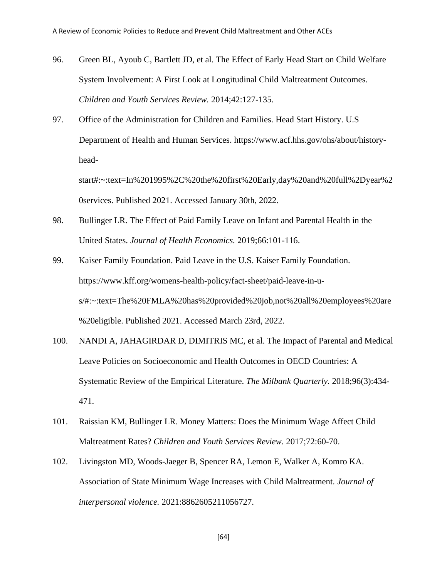- 96. Green BL, Ayoub C, Bartlett JD, et al. The Effect of Early Head Start on Child Welfare System Involvement: A First Look at Longitudinal Child Maltreatment Outcomes. *Children and Youth Services Review.* 2014;42:127-135.
- 97. Office of the Administration for Children and Families. Head Start History. U.S Department of Health and Human Services. [https://www.acf.hhs.gov/ohs/about/history](https://www.acf.hhs.gov/ohs/about/history-head-start#:~:text=In%201995%2C%20the%20first%20Early,day%20and%20full%2Dyear%20services)[head-](https://www.acf.hhs.gov/ohs/about/history-head-start#:~:text=In%201995%2C%20the%20first%20Early,day%20and%20full%2Dyear%20services)

[start#:~:text=In%201995%2C%20the%20first%20Early,day%20and%20full%2Dyear%2](https://www.acf.hhs.gov/ohs/about/history-head-start#:~:text=In%201995%2C%20the%20first%20Early,day%20and%20full%2Dyear%20services) [0services.](https://www.acf.hhs.gov/ohs/about/history-head-start#:~:text=In%201995%2C%20the%20first%20Early,day%20and%20full%2Dyear%20services) Published 2021. Accessed January 30th, 2022.

- 98. Bullinger LR. The Effect of Paid Family Leave on Infant and Parental Health in the United States. *Journal of Health Economics.* 2019;66:101-116.
- 99. Kaiser Family Foundation. Paid Leave in the U.S. Kaiser Family Foundation. [https://www.kff.org/womens-health-policy/fact-sheet/paid-leave-in-u](https://www.kff.org/womens-health-policy/fact-sheet/paid-leave-in-u-s/#:~:text=The%20FMLA%20has%20provided%20job,not%20all%20employees%20are%20eligible)[s/#:~:text=The%20FMLA%20has%20provided%20job,not%20all%20employees%20are](https://www.kff.org/womens-health-policy/fact-sheet/paid-leave-in-u-s/#:~:text=The%20FMLA%20has%20provided%20job,not%20all%20employees%20are%20eligible) [%20eligible.](https://www.kff.org/womens-health-policy/fact-sheet/paid-leave-in-u-s/#:~:text=The%20FMLA%20has%20provided%20job,not%20all%20employees%20are%20eligible) Published 2021. Accessed March 23rd, 2022.
- 100. NANDI A, JAHAGIRDAR D, DIMITRIS MC, et al. The Impact of Parental and Medical Leave Policies on Socioeconomic and Health Outcomes in OECD Countries: A Systematic Review of the Empirical Literature. *The Milbank Quarterly.* 2018;96(3):434- 471.
- 101. Raissian KM, Bullinger LR. Money Matters: Does the Minimum Wage Affect Child Maltreatment Rates? *Children and Youth Services Review.* 2017;72:60-70.
- 102. Livingston MD, Woods-Jaeger B, Spencer RA, Lemon E, Walker A, Komro KA. Association of State Minimum Wage Increases with Child Maltreatment. *Journal of interpersonal violence.* 2021:8862605211056727.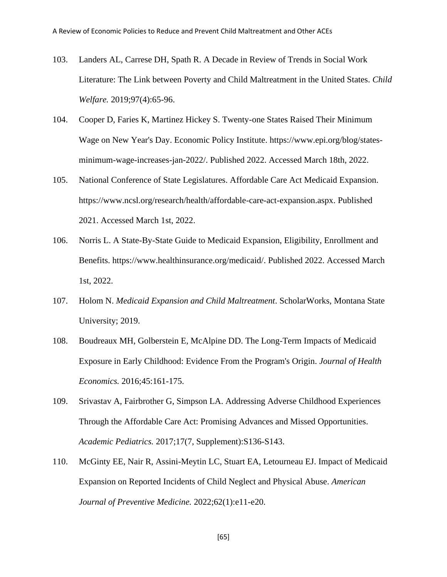- 103. Landers AL, Carrese DH, Spath R. A Decade in Review of Trends in Social Work Literature: The Link between Poverty and Child Maltreatment in the United States. *Child Welfare.* 2019;97(4):65-96.
- 104. Cooper D, Faries K, Martinez Hickey S. Twenty-one States Raised Their Minimum Wage on New Year's Day. Economic Policy Institute. [https://www.epi.org/blog/states](https://www.epi.org/blog/states-minimum-wage-increases-jan-2022/)[minimum-wage-increases-jan-2022/.](https://www.epi.org/blog/states-minimum-wage-increases-jan-2022/) Published 2022. Accessed March 18th, 2022.
- 105. National Conference of State Legislatures. Affordable Care Act Medicaid Expansion. [https://www.ncsl.org/research/health/affordable-care-act-expansion.aspx.](https://www.ncsl.org/research/health/affordable-care-act-expansion.aspx) Published 2021. Accessed March 1st, 2022.
- 106. Norris L. A State-By-State Guide to Medicaid Expansion, Eligibility, Enrollment and Benefits. [https://www.healthinsurance.org/medicaid/.](https://www.healthinsurance.org/medicaid/) Published 2022. Accessed March 1st, 2022.
- 107. Holom N. *Medicaid Expansion and Child Maltreatment*. ScholarWorks, Montana State University; 2019.
- 108. Boudreaux MH, Golberstein E, McAlpine DD. The Long-Term Impacts of Medicaid Exposure in Early Childhood: Evidence From the Program's Origin. *Journal of Health Economics.* 2016;45:161-175.
- 109. Srivastav A, Fairbrother G, Simpson LA. Addressing Adverse Childhood Experiences Through the Affordable Care Act: Promising Advances and Missed Opportunities. *Academic Pediatrics.* 2017;17(7, Supplement):S136-S143.
- 110. McGinty EE, Nair R, Assini-Meytin LC, Stuart EA, Letourneau EJ. Impact of Medicaid Expansion on Reported Incidents of Child Neglect and Physical Abuse. *American Journal of Preventive Medicine.* 2022;62(1):e11-e20.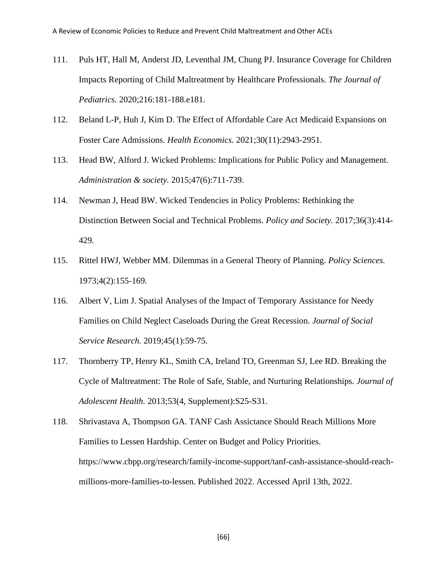- 111. Puls HT, Hall M, Anderst JD, Leventhal JM, Chung PJ. Insurance Coverage for Children Impacts Reporting of Child Maltreatment by Healthcare Professionals. *The Journal of Pediatrics.* 2020;216:181-188.e181.
- 112. Beland L-P, Huh J, Kim D. The Effect of Affordable Care Act Medicaid Expansions on Foster Care Admissions. *Health Economics.* 2021;30(11):2943-2951.
- 113. Head BW, Alford J. Wicked Problems: Implications for Public Policy and Management. *Administration & society.* 2015;47(6):711-739.
- 114. Newman J, Head BW. Wicked Tendencies in Policy Problems: Rethinking the Distinction Between Social and Technical Problems. *Policy and Society.* 2017;36(3):414- 429.
- 115. Rittel HWJ, Webber MM. Dilemmas in a General Theory of Planning. *Policy Sciences.*  1973;4(2):155-169.
- 116. Albert V, Lim J. Spatial Analyses of the Impact of Temporary Assistance for Needy Families on Child Neglect Caseloads During the Great Recession. *Journal of Social Service Research.* 2019;45(1):59-75.
- 117. Thornberry TP, Henry KL, Smith CA, Ireland TO, Greenman SJ, Lee RD. Breaking the Cycle of Maltreatment: The Role of Safe, Stable, and Nurturing Relationships. *Journal of Adolescent Health.* 2013;53(4, Supplement):S25-S31.
- 118. Shrivastava A, Thompson GA. TANF Cash Assictance Should Reach Millions More Families to Lessen Hardship. Center on Budget and Policy Priorities. [https://www.cbpp.org/research/family-income-support/tanf-cash-assistance-should-reach](https://www.cbpp.org/research/family-income-support/tanf-cash-assistance-should-reach-millions-more-families-to-lessen)[millions-more-families-to-lessen.](https://www.cbpp.org/research/family-income-support/tanf-cash-assistance-should-reach-millions-more-families-to-lessen) Published 2022. Accessed April 13th, 2022.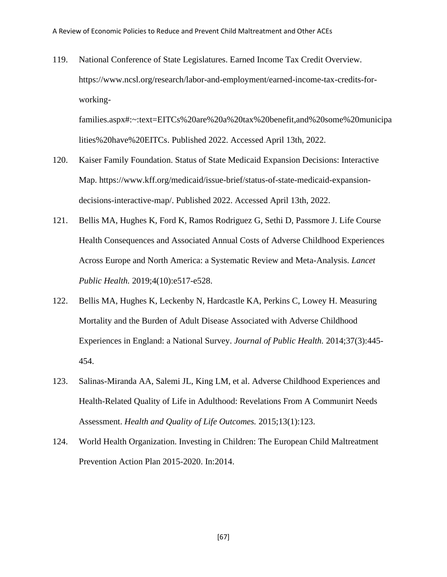119. National Conference of State Legislatures. Earned Income Tax Credit Overview. [https://www.ncsl.org/research/labor-and-employment/earned-income-tax-credits-for](https://www.ncsl.org/research/labor-and-employment/earned-income-tax-credits-for-working-families.aspx#:~:text=EITCs%20are%20a%20tax%20benefit,and%20some%20municipalities%20have%20EITCs)[working-](https://www.ncsl.org/research/labor-and-employment/earned-income-tax-credits-for-working-families.aspx#:~:text=EITCs%20are%20a%20tax%20benefit,and%20some%20municipalities%20have%20EITCs)

[families.aspx#:~:text=EITCs%20are%20a%20tax%20benefit,and%20some%20municipa](https://www.ncsl.org/research/labor-and-employment/earned-income-tax-credits-for-working-families.aspx#:~:text=EITCs%20are%20a%20tax%20benefit,and%20some%20municipalities%20have%20EITCs) [lities%20have%20EITCs.](https://www.ncsl.org/research/labor-and-employment/earned-income-tax-credits-for-working-families.aspx#:~:text=EITCs%20are%20a%20tax%20benefit,and%20some%20municipalities%20have%20EITCs) Published 2022. Accessed April 13th, 2022.

- 120. Kaiser Family Foundation. Status of State Medicaid Expansion Decisions: Interactive Map. [https://www.kff.org/medicaid/issue-brief/status-of-state-medicaid-expansion](https://www.kff.org/medicaid/issue-brief/status-of-state-medicaid-expansion-decisions-interactive-map/)[decisions-interactive-map/.](https://www.kff.org/medicaid/issue-brief/status-of-state-medicaid-expansion-decisions-interactive-map/) Published 2022. Accessed April 13th, 2022.
- 121. Bellis MA, Hughes K, Ford K, Ramos Rodriguez G, Sethi D, Passmore J. Life Course Health Consequences and Associated Annual Costs of Adverse Childhood Experiences Across Europe and North America: a Systematic Review and Meta-Analysis. *Lancet Public Health.* 2019;4(10):e517-e528.
- 122. Bellis MA, Hughes K, Leckenby N, Hardcastle KA, Perkins C, Lowey H. Measuring Mortality and the Burden of Adult Disease Associated with Adverse Childhood Experiences in England: a National Survey. *Journal of Public Health.* 2014;37(3):445- 454.
- 123. Salinas-Miranda AA, Salemi JL, King LM, et al. Adverse Childhood Experiences and Health-Related Quality of Life in Adulthood: Revelations From A Communirt Needs Assessment. *Health and Quality of Life Outcomes.* 2015;13(1):123.
- 124. World Health Organization. Investing in Children: The European Child Maltreatment Prevention Action Plan 2015-2020. In:2014.